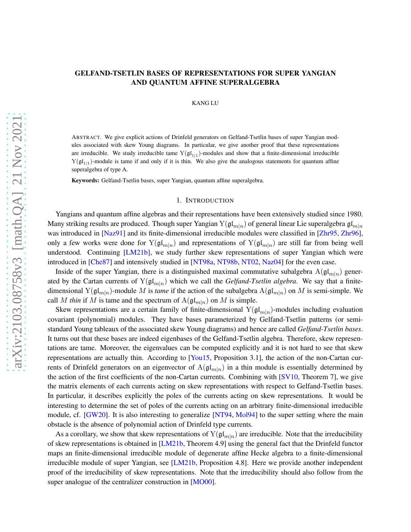# <span id="page-0-0"></span>GELFAND-TSETLIN BASES OF REPRESENTATIONS FOR SUPER YANGIAN AND QUANTUM AFFINE SUPERALGEBRA

## KANG LU

ABSTRACT. We give explicit actions of Drinfeld generators on Gelfand-Tsetlin bases of super Yangian modules associated with skew Young diagrams. In particular, we give another proof that these representations are irreducible. We study irreducible tame  $Y(\mathfrak{gl}_{1|1})$ -modules and show that a finite-dimensional irreducible  $Y(gI_{1|1})$ -module is tame if and only if it is thin. We also give the analogous statements for quantum affine superalgebra of type A.

Keywords: Gelfand-Tsetlin bases, super Yangian, quantum affine superalgebra.

### 1. INTRODUCTION

Yangians and quantum affine algebras and their representations have been extensively studied since 1980. Many striking results are produced. Though super Yangian  $Y(gI_{m|n})$  of general linear Lie superalgebra  $gI_{m|n}$ was introduced in [\[Naz91\]](#page-22-0) and its finite-dimensional irreducible modules were classified in [\[Zhr95,](#page-22-1) [Zhr96\]](#page-22-2), only a few works were done for  $Y(\frak{gl}_{m|n})$  and representations of  $Y(\frak{gl}_{m|n})$  are still far from being well understood. Continuing [\[LM21b\]](#page-22-3), we study further skew representations of super Yangian which were introduced in [\[Che87\]](#page-21-0) and intensively studied in [\[NT98a,](#page-22-4) [NT98b,](#page-22-5) [NT02,](#page-22-6) [Naz04\]](#page-22-7) for the even case.

Inside of the super Yangian, there is a distinguished maximal commutative subalgebra  $A(\mathfrak{gl}_{m|n})$  generated by the Cartan currents of  $Y(\mathfrak{gl}_{m|n})$  which we call the *Gelfand-Tsetlin algebra*. We say that a finitedimensional  $Y(\mathfrak{gl}_{m|n})$ -module M is *tame* if the action of the subalgebra  $A(\mathfrak{gl}_{m|n})$  on M is semi-simple. We call M *thin* if M is tame and the spectrum of  $A(\mathfrak{gl}_{m|n})$  on M is simple.

Skew representations are a certain family of finite-dimensional  $Y(gl_{m|n})$ -modules including evaluation covariant (polynomial) modules. They have bases parameterized by Gelfand-Tsetlin patterns (or semistandard Young tableaux of the associated skew Young diagrams) and hence are called *Gelfand-Tsetlin bases*. It turns out that these bases are indeed eigenbases of the Gelfand-Tsetlin algebra. Therefore, skew representations are tame. Moreover, the eigenvalues can be computed explicitly and it is not hard to see that skew representations are actually thin. According to [\[You15,](#page-22-8) Proposition 3.1], the action of the non-Cartan currents of Drinfeld generators on an eigenvector of  $A(\mathfrak{gl}_{m|n})$  in a thin module is essentially determined by the action of the first coefficients of the non-Cartan currents. Combining with [\[SV10,](#page-22-9) Theorem 7], we give the matrix elements of each currents acting on skew representations with respect to Gelfand-Tsetlin bases. In particular, it describes explicitly the poles of the currents acting on skew representations. It would be interesting to determine the set of poles of the currents acting on an arbitrary finite-dimensional irreducible module, cf. [\[GW20\]](#page-21-1). It is also interesting to generalize [\[NT94,](#page-22-10) [Mol94\]](#page-22-11) to the super setting where the main obstacle is the absence of polynomial action of Drinfeld type currents.

As a corollary, we show that skew representations of  $Y(gI_{m|n})$  are irreducible. Note that the irreducibility of skew representations is obtained in [\[LM21b,](#page-22-3) Theorem 4.9] using the general fact that the Drinfeld functor maps an finite-dimensional irreducible module of degenerate affine Hecke algebra to a finite-dimensional irreducible module of super Yangian, see [\[LM21b,](#page-22-3) Proposition 4.8]. Here we provide another independent proof of the irreducibility of skew representations. Note that the irreducibility should also follow from the super analogue of the centralizer construction in [\[MO00\]](#page-22-12).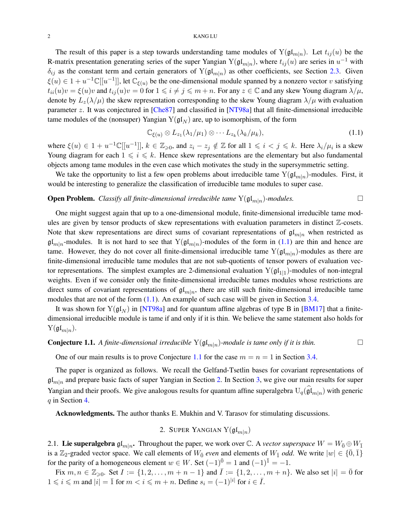<span id="page-1-4"></span>The result of this paper is a step towards understanding tame modules of  $Y(\mathfrak{gl}_{m|n})$ . Let  $t_{ij}(u)$  be the R-matrix presentation generating series of the super Yangian  $Y(gl_{m|n})$ , where  $t_{ij}(u)$  are series in  $u^{-1}$  with  $\delta_{ij}$  as the constant term and certain generators of  $Y(gl_{m|n})$  as other coefficients, see Section [2.3.](#page-4-0) Given  $\xi(u) \in 1 + u^{-1} \mathbb{C}[[u^{-1}]]$ , let  $\mathbb{C}_{\xi(u)}$  be the one-dimensional module spanned by a nonzero vector v satisfying  $t_{ii}(u)v = \xi(u)v$  and  $t_{ij}(u)v = 0$  for  $1 \leq i \neq j \leq m+n$ . For any  $z \in \mathbb{C}$  and any skew Young diagram  $\lambda/\mu$ , denote by  $L_z(\lambda/\mu)$  the skew representation corresponding to the skew Young diagram  $\lambda/\mu$  with evaluation parameter z. It was conjectured in [\[Che87\]](#page-21-0) and classified in [\[NT98a\]](#page-22-4) that all finite-dimensional irreducible tame modules of the (nonsuper) Yangian  $Y(g\mathfrak{l}_N)$  are, up to isomorphism, of the form

<span id="page-1-0"></span>
$$
\mathbb{C}_{\xi(u)} \otimes L_{z_1}(\lambda_1/\mu_1) \otimes \cdots L_{z_k}(\lambda_k/\mu_k), \qquad (1.1)
$$

where  $\xi(u) \in 1 + u^{-1} \mathbb{C}[[u^{-1}]], k \in \mathbb{Z}_{\geqslant 0}$ , and  $z_i - z_j \notin \mathbb{Z}$  for all  $1 \leqslant i < j \leqslant k$ . Here  $\lambda_i/\mu_i$  is a skew Young diagram for each  $1 \leq i \leq k$ . Hence skew representations are the elementary but also fundamental objects among tame modules in the even case which motivates the study in the supersymmetric setting.

We take the opportunity to list a few open problems about irreducible tame  $Y(\mathfrak{gl}_{m|n})$ -modules. First, it would be interesting to generalize the classification of irreducible tame modules to super case.

# **Open Problem.** *Classify all finite-dimensional irreducible tame*  $Y(\mathfrak{gl}_{m|n})$ *-modules.*

One might suggest again that up to a one-dimensional module, finite-dimensional irreducible tame modules are given by tensor products of skew representations with evaluation parameters in distinct Z-cosets. Note that skew representations are direct sums of covariant representations of  $\mathfrak{gl}_{m|n}$  when restricted as  $\mathfrak{gl}_{m|n}$ -modules. It is not hard to see that  $Y(\mathfrak{gl}_{m|n})$ -modules of the form in [\(1.1\)](#page-1-0) are thin and hence are tame. However, they do not cover all finite-dimensional irreducible tame  $Y(\mathfrak{gl}_{m|n})$ -modules as there are finite-dimensional irreducible tame modules that are not sub-quotients of tensor powers of evaluation vector representations. The simplest examples are 2-dimensional evaluation  $Y(gl_{1|1})$ -modules of non-integral weights. Even if we consider only the finite-dimensional irreducible tames modules whose restrictions are direct sums of covariant representations of  $\mathfrak{gl}_{m|n}$ , there are still such finite-dimensional irreducible tame modules that are not of the form  $(1.1)$ . An example of such case will be given in Section [3.4.](#page-12-0)

It was shown for  $Y(gI_N)$  in [\[NT98a\]](#page-22-4) and for quantum affine algebras of type B in [\[BM17\]](#page-21-2) that a finitedimensional irreducible module is tame if and only if it is thin. We believe the same statement also holds for  $Y(\mathfrak{gl}_{m|n}).$ 

# <span id="page-1-1"></span>**Conjecture 1.1.** A finite-dimensional irreducible  $Y(\mathfrak{gl}_{m|n})$ -module is tame only if it is thin.

One of our main results is to prove Conjecture [1.1](#page-1-1) for the case  $m = n = 1$  in Section [3.4.](#page-12-0)

The paper is organized as follows. We recall the Gelfand-Tsetlin bases for covariant representations of  $\mathfrak{gl}_{m|n}$  and prepare basic facts of super Yangian in Section [2.](#page-1-2) In Section [3,](#page-8-0) we give our main results for super Yangian and their proofs. We give analogous results for quantum affine superalgebra  $U_q(\hat{\mathfrak{gl}}_{m|n})$  with generic  $q$  in Section [4.](#page-15-0)

<span id="page-1-2"></span>Acknowledgments. The author thanks E. Mukhin and V. Tarasov for stimulating discussions.

2. SUPER YANGIAN  $Y(gl_{m|n})$ 

<span id="page-1-3"></span>2.1. Lie superalgebra gl<sub>m|n</sub>. Throughout the paper, we work over C. A *vector superspace*  $W = W_0^- \oplus W_1^$ is a  $\mathbb{Z}_2$ -graded vector space. We call elements of  $W_{\bar{0}}$  *even* and elements of  $W_{\bar{1}}$  *odd*. We write  $|w| \in {\bar{0}, \bar{1}}$ for the parity of a homogeneous element  $w \in W$ . Set  $(-1)^{\overline{0}} = 1$  and  $(-1)^{\overline{1}} = -1$ .

Fix  $m, n \in \mathbb{Z}_{\geqslant 0}$ . Set  $I := \{1, 2, \ldots, m + n - 1\}$  and  $\overline{I} := \{1, 2, \ldots, m + n\}$ . We also set  $|i| = \overline{0}$  for  $1 \leq i \leq m$  and  $|i| = \overline{1}$  for  $m < i \leq m + n$ . Define  $s_i = (-1)^{|i|}$  for  $i \in \overline{I}$ .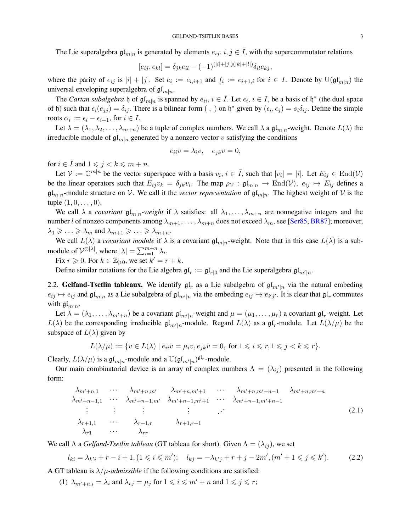<span id="page-2-1"></span>The Lie superalgebra  $\mathfrak{gl}_{m|n}$  is generated by elements  $e_{ij}$ ,  $i, j \in \overline{I}$ , with the supercommutator relations

$$
[e_{ij}, e_{kl}] = \delta_{jk} e_{il} - (-1)^{(|i|+|j|)(|k|+|l|)} \delta_{il} e_{kj},
$$

where the parity of  $e_{ij}$  is  $|i| + |j|$ . Set  $e_i := e_{i,i+1}$  and  $f_i := e_{i+1,i}$  for  $i \in I$ . Denote by  $\mathrm{U}(\mathfrak{gl}_{m|n})$  the universal enveloping superalgebra of  $\mathfrak{gl}_{m|n}$ .

The *Cartan subalgebra*  $\mathfrak h$  of  $\mathfrak{gl}_{m|n}$  is spanned by  $e_{ii}$ ,  $i \in \overline{I}$ . Let  $\epsilon_i$ ,  $i \in I$ , be a basis of  $\mathfrak h^*$  (the dual space of h) such that  $\epsilon_i(e_{jj}) = \delta_{ij}$ . There is a bilinear form  $($ ,  $)$  on  $\mathfrak{h}^*$  given by  $(\epsilon_i, \epsilon_j) = s_i \delta_{ij}$ . Define the simple roots  $\alpha_i := \epsilon_i - \epsilon_{i+1}$ , for  $i \in I$ .

Let  $\lambda = (\lambda_1, \lambda_2, \dots, \lambda_{m+n})$  be a tuple of complex numbers. We call  $\lambda$  a  $\mathfrak{gl}_{m|n}$ -weight. Denote  $L(\lambda)$  the irreducible module of  $\mathfrak{gl}_{m|n}$  generated by a nonzero vector v satisfying the conditions

$$
e_{ii}v = \lambda_i v, \quad e_{jk}v = 0,
$$

for  $i \in \overline{I}$  and  $1 \leq j \leq k \leq m+n$ .

Let  $V := \mathbb{C}^{m|n}$  be the vector superspace with a basis  $v_i, i \in \overline{I}$ , such that  $|v_i| = |i|$ . Let  $E_{ij} \in \text{End}(V)$ be the linear operators such that  $E_{ij}v_k = \delta_{jk}v_i$ . The map  $\rho v : \mathfrak{gl}_{m|n} \to \text{End}(\mathcal{V})$ ,  $e_{ij} \mapsto E_{ij}$  defines a  $\mathfrak{gl}_{m|n}$ -module structure on V. We call it the *vector representation* of  $\mathfrak{gl}_{m|n}$ . The highest weight of V is the tuple  $(1, 0, \ldots, 0)$ .

We call  $\lambda$  a *covariant*  $\mathfrak{gl}_{m|n}$ -weight if  $\lambda$  satisfies: all  $\lambda_1, \ldots, \lambda_{m+n}$  are nonnegative integers and the number l of nonzeo components among  $\lambda_{m+1}, \dots, \lambda_{m+n}$  does not exceed  $\lambda_m$ , see [\[Ser85,](#page-22-13) [BR87\]](#page-21-3); moreover,  $\lambda_1 \geqslant \ldots \geqslant \lambda_m$  and  $\lambda_{m+1} \geqslant \ldots \geqslant \lambda_{m+n}$ .

We call  $L(\lambda)$  a *covariant module* if  $\lambda$  is a covariant  $\mathfrak{gl}_{m|n}$ -weight. Note that in this case  $L(\lambda)$  is a submodule of  $\mathcal{V}^{\otimes |\lambda|}$ , where  $|\lambda| = \sum_{i=1}^{m+n} \lambda_i$ .

Fix  $r \geqslant 0$ . For  $k \in \mathbb{Z}_{\geqslant 0}$ , we set  $k' = r + k$ .

Define similar notations for the Lie algebra  $\mathfrak{gl}_r := \mathfrak{gl}_{r|0}$  and the Lie superalgebra  $\mathfrak{gl}_{m'|n}$ .

2.2. Gelfand-Tsetlin tableaux. We identify  $\mathfrak{gl}_r$  as a Lie subalgebra of  $\mathfrak{gl}_{m'|n}$  via the natural embeding  $e_{ij} \mapsto e_{ij}$  and  $\mathfrak{gl}_{m|n}$  as a Lie subalgebra of  $\mathfrak{gl}_{m'|n}$  via the embeding  $e_{ij} \mapsto e_{i'j'}$ . It is clear that  $\mathfrak{gl}_r$  commutes with  $\mathfrak{gl}_{m|n}$ .

Let  $\lambda = (\lambda_1, \dots, \lambda_{m'+n})$  be a covariant  $\mathfrak{gl}_{m'|n}$ -weight and  $\mu = (\mu_1, \dots, \mu_r)$  a covariant  $\mathfrak{gl}_r$ -weight. Let  $L(\lambda)$  be the corresponding irreducible  $\mathfrak{gl}_{m'|n}$ -module. Regard  $L(\lambda)$  as a  $\mathfrak{gl}_n$ -module. Let  $L(\lambda/\mu)$  be the subspace of  $L(\lambda)$  given by

$$
L(\lambda/\mu) := \{ v \in L(\lambda) \mid e_{ii}v = \mu_i v, e_{jk}v = 0, \text{ for } 1 \leqslant i \leqslant r, 1 \leqslant j < k \leqslant r \}.
$$

Clearly,  $L(\lambda/\mu)$  is a  $\mathfrak{gl}_{m|n}$ -module and a  $\mathrm{U}(\mathfrak{gl}_{m'|n})^{\mathfrak{gl}_r}$ -module.

Our main combinatorial device is an array of complex numbers  $\Lambda = (\lambda_{ij})$  presented in the following form:

$$
\lambda_{m'+n,1} \cdots \lambda_{m'+n,m'} \lambda_{m'+n,m'+1} \cdots \lambda_{m'+n,m'+n-1} \lambda_{m'+n,m'+n}
$$
\n
$$
\lambda_{m'+n-1,1} \cdots \lambda_{m'+n-1,m'} \lambda_{m'+n-1,m'+1} \cdots \lambda_{m'+n-1,m'+n-1}
$$
\n
$$
\vdots \qquad \vdots \qquad \vdots
$$
\n
$$
\lambda_{r+1,1} \cdots \lambda_{r+1,r} \lambda_{r+1,r+1}
$$
\n
$$
\lambda_{r+1} \cdots \lambda_{rr}
$$
\n(2.1)

We call  $\Lambda$  a *Gelfand-Tsetlin tableau* (GT tableau for short). Given  $\Lambda = (\lambda_{ij})$ , we set

<span id="page-2-0"></span>
$$
l_{ki} = \lambda_{k'i} + r - i + 1, (1 \le i \le m'); \quad l_{kj} = -\lambda_{k'j} + r + j - 2m', (m' + 1 \le j \le k'). \tag{2.2}
$$

A GT tableau is  $\lambda/\mu$ -*admissible* if the following conditions are satisfied:

(1)  $\lambda_{m'+n,i} = \lambda_i$  and  $\lambda_{r,j} = \mu_j$  for  $1 \leq i \leq m' + n$  and  $1 \leq j \leq r$ ;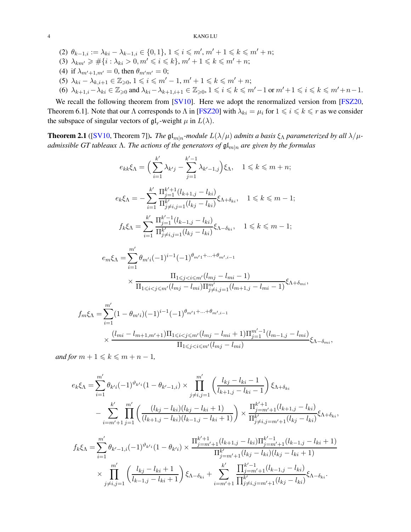- <span id="page-3-1"></span>(2)  $\theta_{k-1,i} := \lambda_{ki} - \lambda_{k-1,i} \in \{0,1\}, 1 \leq i \leq m', m' + 1 \leq k \leq m' + n;$
- (3)  $\lambda_{km'} \geq \#\{i : \lambda_{ki} > 0, m' \leq i \leq k\}, m' + 1 \leq k \leq m' + n;$
- (4) if  $\lambda_{m'+1,m'} = 0$ , then  $\theta_{m'm'} = 0$ ;
- (5)  $\lambda_{ki} \lambda_{k,i+1} \in \mathbb{Z}_{\geqslant 0}, 1 \leqslant i \leqslant m'-1, m'+1 \leqslant k \leqslant m'+n;$
- (6)  $\lambda_{k+1,i}-\lambda_{ki}\in\mathbb{Z}_{\geqslant0}$  and  $\lambda_{ki}-\lambda_{k+1,i+1}\in\mathbb{Z}_{\geqslant0}, 1\leqslant i\leqslant k\leqslant m'-1$  or  $m'+1\leqslant i\leqslant k\leqslant m'+n-1$ .

We recall the following theorem from [\[SV10\]](#page-22-9). Here we adopt the renormalized version from [\[FSZ20,](#page-21-4) Theorem 6.1]. Note that our Λ corresponds to Λ in [\[FSZ20\]](#page-21-4) with  $\lambda_{ki} = \mu_i$  for  $1 \leq i \leq k \leq r$  as we consider the subspace of singular vectors of  $\mathfrak{gl}_r$ -weight  $\mu$  in  $L(\lambda)$ .

<span id="page-3-0"></span>**Theorem 2.1** ([\[SV10,](#page-22-9) Theorem 7]). *The*  $\mathfrak{gl}_{m|n}$ -module  $L(\lambda/\mu)$  admits a basis  $\xi_{\Lambda}$  parameterized by all  $\lambda/\mu$ *admissible GT tableaux Λ. The actions of the generators of*  $\mathfrak{gl}_{m|n}$  *are given by the formulas* 

$$
e_{kk}\xi_{\Lambda} = \Big(\sum_{i=1}^{k'} \lambda_{k'j} - \sum_{j=1}^{k'-1} \lambda_{k'-1,j}\Big)\xi_{\Lambda}, \quad 1 \leq k \leq m+n;
$$
  

$$
e_k\xi_{\Lambda} = -\sum_{i=1}^{k'} \frac{\prod_{j=1}^{k'+1} (l_{k+1,j} - l_{ki})}{\prod_{j \neq i,j=1}^{k'} (l_{kj} - l_{ki})}\xi_{\Lambda + \delta_{ki}}, \quad 1 \leq k \leq m-1;
$$
  

$$
f_k\xi_{\Lambda} = \sum_{i=1}^{k'} \frac{\prod_{j=1}^{k'-1} (l_{k-1,j} - l_{ki})}{\prod_{j \neq i,j=1}^{k'} (l_{kj} - l_{ki})}\xi_{\Lambda - \delta_{ki}}, \quad 1 \leq k \leq m-1;
$$

$$
e_m \xi_{\Lambda} = \sum_{i=1}^{m'} \theta_{m'i} (-1)^{i-1} (-1)^{\theta_{m'1} + \dots + \theta_{m',i-1}}
$$

$$
\times \frac{\Pi_{1 \leq j < i \leq m'}(l_{mj} - l_{mi} - 1)}{\Pi_{1 \leq i < j \leq m'}(l_{mj} - l_{mi}) \Pi_{j \neq i, j=1}^{m'}(l_{m+1,j} - l_{mi} - 1)} \xi_{\Lambda + \delta_{mi}},
$$

$$
f_m \xi_{\Lambda} = \sum_{i=1}^{m'} (1 - \theta_{m'i})(-1)^{i-1}(-1)^{\theta_{m'1} + \dots + \theta_{m',i-1}}
$$
  
\$\times \frac{(l\_{mi} - l\_{m+1,m'+1})\Pi\_{1 \le i < j \le m'}(l\_{mj} - l\_{mi} + 1)\Pi\_{j=1}^{m'-1}(l\_{m-1,j} - l\_{mi})\$  
\Pi\_{1 \le j < i \le m'}(l\_{mj} - l\_{mi})\$  
\$\xi\_{\Lambda - \delta\_{mi}},\$

*and for*  $m + 1 \leq k \leq m + n - 1$ *,* 

$$
e_k \xi_{\Lambda} = \sum_{i=1}^{m'} \theta_{k'i} (-1)^{\vartheta_{k'i}} (1 - \theta_{k'-1,i}) \times \prod_{j \neq i,j=1}^{m'} \left( \frac{l_{kj} - l_{ki} - 1}{l_{k+1,j} - l_{ki} - 1} \right) \xi_{\Lambda + \delta_{ki}}
$$

$$
- \sum_{i=m'+1}^{k'} \prod_{j=1}^{m'} \left( \frac{(l_{kj} - l_{ki})(l_{kj} - l_{ki} + 1)}{(l_{k+1,j} - l_{ki})(l_{k-1,j} - l_{ki} + 1)} \right) \times \frac{\Pi_{j=m'+1}^{k'+1} (l_{k+1,j} - l_{ki})}{\Pi_{j \neq i,j=m'+1}^{k'} (l_{kj} - l_{ki})} \xi_{\Lambda + \delta_{ki}},
$$

$$
m' \prod_{j=1}^{k'+1} (l_{k,j} - l_{k,j}) \Pi^{k'-1} (l_{k,j} - l_{k,j} + 1)
$$

$$
f_k \xi_{\Lambda} = \sum_{i=1}^{m'} \theta_{k'-1,i} (-1)^{\vartheta_{k'i}} (1 - \theta_{k'i}) \times \frac{\Pi_{j=m'+1}^{k'+1} (l_{k+1,j} - l_{ki}) \Pi_{j=m'+1}^{k'-1} (l_{k-1,j} - l_{ki} + 1)}{\Pi_{j=m'+1}^{k'} (l_{kj} - l_{ki}) (l_{kj} - l_{ki} + 1)}
$$

$$
\times \prod_{j \neq i,j=1}^{m'} \left( \frac{l_{kj} - l_{ki} + 1}{l_{k-1,j} - l_{ki} + 1} \right) \xi_{\Lambda - \delta_{ki}} + \sum_{i=m'+1}^{k'} \frac{\Pi_{j=m'+1}^{k'-1} (l_{k-1,j} - l_{ki})}{\Pi_{j \neq i,j=m'+1}^{k'} (l_{kj} - l_{ki})} \xi_{\Lambda - \delta_{ki}}.
$$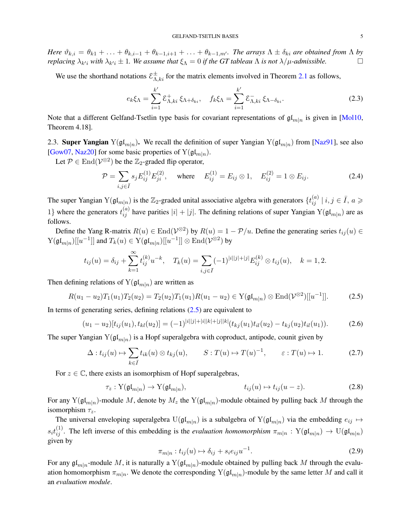<span id="page-4-6"></span>*Here*  $\vartheta_{k,i} = \theta_{k1} + \ldots + \theta_{k,i-1} + \theta_{k-1,i+1} + \ldots + \theta_{k-1,m}$ *. The arrays*  $\Lambda \pm \delta_{ki}$  *are obtained from*  $\Lambda$  *by replacing*  $\lambda_{k'i}$  *with*  $\lambda_{k'i} \pm 1$ *. We assume that*  $\xi_{\Lambda} = 0$  *if the GT tableau*  $\Lambda$  *is not*  $\lambda/\mu$ *-admissible.* 

We use the shorthand notations  $\mathcal{E}_{\Lambda,ki}^{\pm}$  for the matrix elements involved in Theorem [2.1](#page-3-0) as follows,

<span id="page-4-2"></span>
$$
e_k \xi_\Lambda = \sum_{i=1}^{k'} \mathcal{E}_{\Lambda,ki}^+ \xi_{\Lambda + \delta_{ki}}, \quad f_k \xi_\Lambda = \sum_{i=1}^{k'} \mathcal{E}_{\Lambda,ki}^- \xi_{\Lambda - \delta_{ki}}.
$$
 (2.3)

Note that a different Gelfand-Tsetlin type basis for covariant representations of  $\mathfrak{gl}_{m|n}$  is given in [\[Mol10,](#page-22-14) Theorem 4.18].

<span id="page-4-0"></span>2.3. Super Yangian  $Y(\mathfrak{gl}_{m|n})$ . We recall the definition of super Yangian  $Y(\mathfrak{gl}_{m|n})$  from [\[Naz91\]](#page-22-0), see also [\[Gow07,](#page-21-5) [Naz20\]](#page-22-15) for some basic properties of  $Y(\mathfrak{gl}_{m|n})$ .

Let  $P \in \text{End}(\mathcal{V}^{\otimes 2})$  be the  $\mathbb{Z}_2$ -graded flip operator,

<span id="page-4-5"></span>
$$
\mathcal{P} = \sum_{i,j \in \bar{I}} s_j E_{ij}^{(1)} E_{ji}^{(2)}, \quad \text{where} \quad E_{ij}^{(1)} = E_{ij} \otimes 1, \quad E_{ij}^{(2)} = 1 \otimes E_{ij}.
$$
 (2.4)

The super Yangian  $Y(gf_{m|n})$  is the  $\mathbb{Z}_2$ -graded unital associative algebra with generators  $\{t_{ij}^{(a)} | i,j \in \bar{I}, a \geq 0\}$ 1} where the generators  $t_{ij}^{(a)}$  have parities  $|i| + |j|$ . The defining relations of super Yangian  $Y(\mathfrak{gl}_{m|n})$  are as follows.

Define the Yang R-matrix  $R(u) \in \text{End}(\mathcal{V}^{\otimes 2})$  by  $R(u) = 1 - \mathcal{P}/u$ . Define the generating series  $t_{ij}(u) \in$  $\mathrm{Y}(\mathfrak{gl}_{m|n})[[u^{-1}]]$  and  $T_k(u)\in \mathrm{Y}(\mathfrak{gl}_{m|n})[[u^{-1}]]\otimes \mathrm{End}(\mathcal{V}^{\otimes 2})$  by

$$
t_{ij}(u) = \delta_{ij} + \sum_{k=1}^{\infty} t_{ij}^{(k)} u^{-k}, \quad T_k(u) = \sum_{i,j \in \bar{I}} (-1)^{|i||j|+|j|} E_{ij}^{(k)} \otimes t_{ij}(u), \quad k = 1, 2.
$$

Then defining relations of  $Y(gl_{m|n})$  are written as

<span id="page-4-1"></span>
$$
R(u_1 - u_2)T_1(u_1)T_2(u_2) = T_2(u_2)T_1(u_1)R(u_1 - u_2) \in Y(\mathfrak{gl}_{m|n}) \otimes \text{End}(\mathcal{V}^{\otimes 2})[[u^{-1}]]. \tag{2.5}
$$

In terms of generating series, defining relations  $(2.5)$  are equivalent to

<span id="page-4-3"></span>
$$
(u_1 - u_2)[t_{ij}(u_1), t_{kl}(u_2)] = (-1)^{|i||j| + |i||k| + |j||k|} (t_{kj}(u_1)t_{il}(u_2) - t_{kj}(u_2)t_{il}(u_1)).
$$
\n(2.6)

The super Yangian  $Y(\mathfrak{gl}_{m|n})$  is a Hopf superalgebra with coproduct, antipode, counit given by

<span id="page-4-4"></span>
$$
\Delta: t_{ij}(u) \mapsto \sum_{k \in \overline{I}} t_{ik}(u) \otimes t_{kj}(u), \qquad S: T(u) \mapsto T(u)^{-1}, \qquad \varepsilon: T(u) \mapsto 1. \tag{2.7}
$$

For  $z \in \mathbb{C}$ , there exists an isomorphism of Hopf superalgebras,

$$
\tau_z: Y(\mathfrak{gl}_{m|n}) \to Y(\mathfrak{gl}_{m|n}), \qquad t_{ij}(u) \mapsto t_{ij}(u-z). \tag{2.8}
$$

For any  $Y(\mathfrak{gl}_{m|n})$ -module M, denote by  $M_z$  the  $Y(\mathfrak{gl}_{m|n})$ -module obtained by pulling back M through the isomorphism  $\tau_z$ .

The universal enveloping superalgebra  $U(\mathfrak{gl}_{m|n})$  is a subalgebra of  $Y(\mathfrak{gl}_{m|n})$  via the embedding  $e_{ij} \mapsto$  $s_i t_{ij}^{(1)}$ . The left inverse of this embedding is the *evaluation homomorphism*  $\pi_{m|n} : Y(\mathfrak{gl}_{m|n}) \to U(\mathfrak{gl}_{m|n})$ given by

$$
\pi_{m|n}: t_{ij}(u) \mapsto \delta_{ij} + s_i e_{ij} u^{-1}.
$$
\n(2.9)

For any  $\mathfrak{gl}_{m|n}$ -module M, it is naturally a Y( $\mathfrak{gl}_{m|n}$ )-module obtained by pulling back M through the evaluation homomorphism  $\pi_{m|n}$ . We denote the corresponding  $Y(\mathfrak{gl}_{m|n})$ -module by the same letter M and call it an *evaluation module*.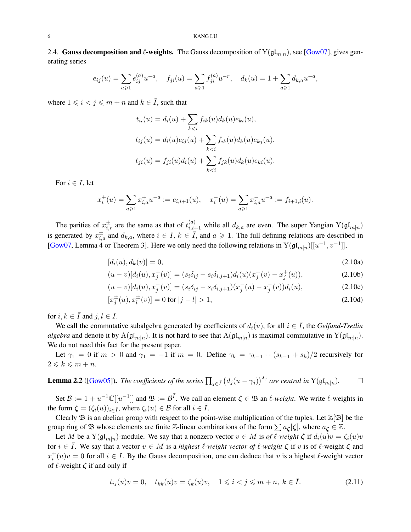<span id="page-5-4"></span><span id="page-5-3"></span>2.4. Gauss decomposition and  $\ell$ -weights. The Gauss decomposition of  $Y(\mathfrak{gl}_{m|n})$ , see [\[Gow07\]](#page-21-5), gives generating series

$$
e_{ij}(u) = \sum_{a \ge 1} e_{ij}^{(a)} u^{-a}, \quad f_{ji}(u) = \sum_{a \ge 1} f_{ji}^{(a)} u^{-r}, \quad d_k(u) = 1 + \sum_{a \ge 1} d_{k,a} u^{-a},
$$

where  $1 \leq i < j \leq m + n$  and  $k \in \overline{I}$ , such that

$$
t_{ii}(u) = d_i(u) + \sum_{k < i} f_{ik}(u) d_k(u) e_{ki}(u),
$$
\n
$$
t_{ij}(u) = d_i(u) e_{ij}(u) + \sum_{k < i} f_{ik}(u) d_k(u) e_{kj}(u),
$$
\n
$$
t_{ji}(u) = f_{ji}(u) d_i(u) + \sum_{k < i} f_{jk}(u) d_k(u) e_{ki}(u).
$$

For  $i \in I$ , let

$$
x_i^+(u) = \sum_{a \ge 1} x_{i,a}^+ u^{-a} := e_{i,i+1}(u), \quad x_i^-(u) = \sum_{a \ge 1} x_{i,a}^- u^{-a} := f_{i+1,i}(u).
$$

The parities of  $x_{i,r}^{\pm}$  are the same as that of  $t_{i,i+1}^{(a)}$  while all  $d_{k,a}$  are even. The super Yangian  $Y(\mathfrak{gl}_{m|n})$ is generated by  $x_{i,a}^{\pm}$  and  $d_{k,a}$ , where  $i \in I$ ,  $k \in \overline{I}$ , and  $a \geq 1$ . The full defining relations are described in [\[Gow07,](#page-21-5) Lemma 4 or Theorem 3]. Here we only need the following relations in  $Y(\mathfrak{gl}_{m|n})[[u^{-1}, v^{-1}]]$ ,

$$
[d_i(u), d_k(v)] = 0,
$$
\n(2.10a)

<span id="page-5-2"></span><span id="page-5-0"></span>
$$
(u-v)[d_i(u), x_j^+(v)] = (s_i\delta_{ij} - s_i\delta_{i,j+1})d_i(u)(x_j^+(v) - x_j^+(u)),
$$
\n(2.10b)

$$
(u-v)[d_i(u), x_j^-(v)] = (s_i\delta_{ij} - s_i\delta_{i,j+1})(x_j^-(u) - x_j^-(v))d_i(u),
$$
\n(2.10c)

$$
[x_j^{\pm}(u), x_l^{\pm}(v)] = 0 \text{ for } |j - l| > 1,
$$
\n(2.10d)

for  $i, k \in \overline{I}$  and  $j, l \in I$ .

We call the commutative subalgebra generated by coefficients of  $d_i(u)$ , for all  $i \in \overline{I}$ , the *Gelfand-Tsetlin algebra* and denote it by  $A(\frak{gl}_{m|n})$ . It is not hard to see that  $A(\frak{gl}_{m|n})$  is maximal commutative in  $Y(\frak{gl}_{m|n})$ . We do not need this fact for the present paper.

Let  $\gamma_1 = 0$  if  $m > 0$  and  $\gamma_1 = -1$  if  $m = 0$ . Define  $\gamma_k = \gamma_{k-1} + (s_{k-1} + s_k)/2$  recursively for  $2 \leqslant k \leqslant m + n$ .

<span id="page-5-1"></span>**Lemma 2.2** ([Gow05]). The coefficients of the series 
$$
\prod_{j \in \bar{I}} (d_j(u - \gamma_j))^{s_j}
$$
 are central in  $Y(\mathfrak{gl}_{m|n})$ .  $\square$ 

Set  $\mathcal{B} := 1 + u^{-1} \mathbb{C}[[u^{-1}]]$  and  $\mathfrak{B} := \mathcal{B}^{\bar{I}}$ . We call an element  $\zeta \in \mathfrak{B}$  an  $\ell$ -weight. We write  $\ell$ -weights in the form  $\zeta = (\zeta_i(u))_{i \in \overline{I}}$ , where  $\zeta_i(u) \in \mathcal{B}$  for all  $i \in \overline{I}$ .

Clearly  $\mathfrak B$  is an abelian group with respect to the point-wise multiplication of the tuples. Let  $\mathbb Z[\mathfrak B]$  be the group ring of B whose elements are finite Z-linear combinations of the form  $\sum a_{\zeta}[\zeta]$ , where  $a_{\zeta} \in \mathbb{Z}$ .

Let M be a Y( $\mathfrak{gl}_{m|n}$ )-module. We say that a nonzero vector  $v \in M$  is *of*  $\ell$ *-weight*  $\zeta$  if  $d_i(u)v = \zeta_i(u)v$ for  $i \in I$ . We say that a vector  $v \in M$  is a *highest*  $\ell$ -weight vector of  $\ell$ -weight  $\zeta$  if v is of  $\ell$ -weight  $\zeta$  and  $x_i^+(u)v = 0$  for all  $i \in I$ . By the Gauss decomposition, one can deduce that v is a highest  $\ell$ -weight vector of  $\ell$ -weight  $\zeta$  if and only if

$$
t_{ij}(u)v = 0, \quad t_{kk}(u)v = \zeta_k(u)v, \quad 1 \leq i < j \leq m + n, \ k \in \bar{I}.\tag{2.11}
$$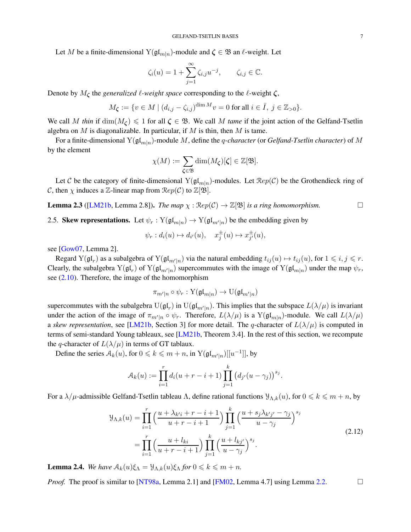<span id="page-6-2"></span>Let M be a finite-dimensional  $Y(\mathfrak{gl}_{m|n})$ -module and  $\zeta \in \mathfrak{B}$  an  $\ell$ -weight. Let

$$
\zeta_i(u) = 1 + \sum_{j=1}^{\infty} \zeta_{i,j} u^{-j}, \qquad \zeta_{i,j} \in \mathbb{C}.
$$

Denote by  $M_{\zeta}$  the *generalized*  $\ell$ -weight space corresponding to the  $\ell$ -weight  $\zeta$ ,

$$
M_{\zeta} := \{ v \in M \mid (d_{i,j} - \zeta_{i,j})^{\dim M} v = 0 \text{ for all } i \in \overline{I}, j \in \mathbb{Z}_{>0} \}.
$$

We call M thin if  $\dim(M_{\zeta}) \leq 1$  for all  $\zeta \in \mathfrak{B}$ . We call M tame if the joint action of the Gelfand-Tsetlin algebra on M is diagonalizable. In particular, if M is thin, then M is tame.

For a finite-dimensional  $Y(\mathfrak{gl}_{m|n})$ -module M, define the *q-character* (or *Gelfand-Tsetlin character*) of M by the element

$$
\chi(M) := \sum_{\zeta \in \mathfrak{B}} \dim(M_{\zeta})[\zeta] \in \mathbb{Z}[\mathfrak{B}].
$$

Let C be the category of finite-dimensional  $Y(\mathfrak{gl}_{m|n})$ -modules. Let  $\mathcal{R}ep(\mathcal{C})$  be the Grothendieck ring of C, then  $\chi$  induces a Z-linear map from  $\mathcal{R}ep(\mathcal{C})$  to  $\mathbb{Z}[\mathfrak{B}].$ 

<span id="page-6-1"></span>**Lemma 2.3** ([\[LM21b,](#page-22-3) Lemma 2.8]). *The map*  $\chi : \text{Rep}(\mathcal{C}) \to \mathbb{Z}[\mathfrak{B}]$  *is a ring homomorphism.* 

2.5. Skew representations. Let  $\psi_r : Y(\mathfrak{gl}_{m|n}) \to Y(\mathfrak{gl}_{m'|n})$  be the embedding given by

$$
\psi_r: d_i(u) \mapsto d_{i'}(u), \quad x_j^{\pm}(u) \mapsto x_{j'}^{\pm}(u),
$$

see [\[Gow07,](#page-21-5) Lemma 2].

Regard  $Y(\mathfrak{gl}_r)$  as a subalgebra of  $Y(\mathfrak{gl}_{m'|n})$  via the natural embedding  $t_{ij}(u) \mapsto t_{ij}(u)$ , for  $1 \leq i, j \leq r$ . Clearly, the subalgebra  $Y(gl_n)$  of  $Y(gl_{m'|n})$  supercommutes with the image of  $Y(gl_{m|n})$  under the map  $\psi_r$ , see  $(2.10)$ . Therefore, the image of the homomorphism

$$
\pi_{m'|n} \circ \psi_r : \mathrm{Y}(\mathfrak{gl}_{m|n}) \to \mathrm{U}(\mathfrak{gl}_{m'|n})
$$

supercommutes with the subalgebra  $U(\frak{gl}_r)$  in  $U(\frak{gl}_{m'|n})$ . This implies that the subspace  $L(\lambda/\mu)$  is invariant under the action of the image of  $\pi_{m'|n} \circ \psi_r$ . Therefore,  $L(\lambda/\mu)$  is a  $Y(\mathfrak{gl}_{m|n})$ -module. We call  $L(\lambda/\mu)$ a *skew representation*, see [\[LM21b,](#page-22-3) Section 3] for more detail. The q-character of  $L(\lambda/\mu)$  is computed in terms of semi-standard Young tableaux, see  $[LM21b,$  Theorem 3.4]. In the rest of this section, we recompute the q-character of  $L(\lambda/\mu)$  in terms of GT tablaux.

Define the series  $A_k(u)$ , for  $0 \le k \le m + n$ , in  $Y(\mathfrak{gl}_{m'|n})[[u^{-1}]]$ , by

$$
\mathcal{A}_k(u) := \prod_{i=1}^r d_i(u + r - i + 1) \prod_{j=1}^k (d_{j'}(u - \gamma_j))^{s_j}.
$$

For a  $\lambda/\mu$ -admissible Gelfand-Tsetlin tableau  $\Lambda$ , define rational functions  $\mathcal{Y}_{\Lambda,k}(u)$ , for  $0 \le k \le m+n$ , by

$$
\mathcal{Y}_{\Lambda,k}(u) = \prod_{i=1}^r \left( \frac{u + \lambda_{k'i} + r - i + 1}{u + r - i + 1} \right) \prod_{j=1}^k \left( \frac{u + s_j \lambda_{k'j'} - \gamma_j}{u - \gamma_j} \right)^{s_j}
$$
\n
$$
= \prod_{i=1}^r \left( \frac{u + l_{ki}}{u + r - i + 1} \right) \prod_{j=1}^k \left( \frac{u + l_{kj'}}{u - \gamma_j} \right)^{s_j}.
$$
\n(2.12)

<span id="page-6-0"></span>**Lemma 2.4.** *We have*  $A_k(u)\xi_\Lambda = \mathcal{Y}_{\Lambda,k}(u)\xi_\Lambda$  *for*  $0 \le k \le m + n$ *.* 

*Proof.* The proof is similar to [\[NT98a,](#page-22-4) Lemma 2.1] and [\[FM02,](#page-21-7) Lemma 4.7] using Lemma [2.2.](#page-5-1)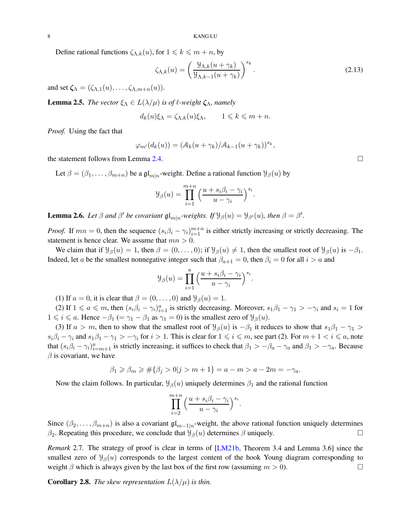<span id="page-7-4"></span>Define rational functions  $\zeta_{\Lambda,k}(u)$ , for  $1 \leq k \leq m+n$ , by

<span id="page-7-1"></span>
$$
\zeta_{\Lambda,k}(u) = \left(\frac{\mathcal{Y}_{\Lambda,k}(u + \gamma_k)}{\mathcal{Y}_{\Lambda,k-1}(u + \gamma_k)}\right)^{s_k}.\tag{2.13}
$$

and set  $\zeta_{\Lambda} = (\zeta_{\Lambda,1}(u), \ldots, \zeta_{\Lambda,m+n}(u)).$ 

<span id="page-7-3"></span>**Lemma 2.5.** *The vector*  $\xi_{\Lambda} \in L(\lambda/\mu)$  *is of*  $\ell$ *-weight*  $\zeta_{\Lambda}$ *, namely* 

$$
d_k(u)\xi_{\Lambda} = \zeta_{\Lambda,k}(u)\xi_{\Lambda}, \qquad 1 \leqslant k \leqslant m+n.
$$

*Proof.* Using the fact that

$$
\varphi_{m'}(d_k(u)) = (\mathcal{A}_k(u + \gamma_k)/\mathcal{A}_{k-1}(u + \gamma_k))^{s_k},
$$

the statement follows from Lemma [2.4.](#page-6-0)

Let  $\beta = (\beta_1, \dots, \beta_{m+n})$  be a  $\mathfrak{gl}_{m|n}$ -weight. Define a rational function  $\mathcal{Y}_{\beta}(u)$  by

$$
\mathcal{Y}_{\beta}(u) = \prod_{i=1}^{m+n} \left( \frac{u + s_i \beta_i - \gamma_i}{u - \gamma_i} \right)^{s_i}.
$$

<span id="page-7-0"></span>**Lemma 2.6.** Let  $\beta$  and  $\beta'$  be covariant  $\mathfrak{gl}_{m|n}$ -weights. If  $\mathcal{Y}_{\beta}(u) = \mathcal{Y}_{\beta'}(u)$ , then  $\beta = \beta'$ .

*Proof.* If  $mn = 0$ , then the sequence  $(s_i \beta_i - \gamma_i)_{i=1}^{m+n}$  is either strictly increasing or strictly decreasing. The statement is hence clear. We assume that  $mn > 0$ .

We claim that if  $\mathcal{Y}_{\beta}(u) = 1$ , then  $\beta = (0, \dots, 0)$ ; if  $\mathcal{Y}_{\beta}(u) \neq 1$ , then the smallest root of  $\mathcal{Y}_{\beta}(u)$  is  $-\beta_1$ . Indeed, let a be the smallest nonnegative integer such that  $\beta_{a+1} = 0$ , then  $\beta_i = 0$  for all  $i > a$  and

$$
\mathcal{Y}_{\beta}(u) = \prod_{i=1}^{a} \left( \frac{u + s_i \beta_i - \gamma_i}{u - \gamma_i} \right)^{s_i}.
$$

(1) If  $a = 0$ , it is clear that  $\beta = (0, \ldots, 0)$  and  $\mathcal{Y}_{\beta}(u) = 1$ .

(2) If  $1 \le a \le m$ , then  $(s_i\beta_i - \gamma_i)_{i=1}^a$  is strictly decreasing. Moreover,  $s_1\beta_1 - \gamma_1 > -\gamma_i$  and  $s_i = 1$  for  $1 \leq i \leq a$ . Hence  $-\beta_1 (= \gamma_1 - \beta_1 \text{ as } \gamma_1 = 0)$  is the smallest zero of  $\mathcal{Y}_{\beta}(u)$ .

(3) If  $a > m$ , then to show that the smallest root of  $\mathcal{Y}_{\beta}(u)$  is  $-\beta_1$  it reduces to show that  $s_1\beta_1 - \gamma_1 >$  $s_i\beta_i - \gamma_i$  and  $s_1\beta_1 - \gamma_1 > -\gamma_i$  for  $i > 1$ . This is clear for  $1 \leq i \leq m$ , see part (2). For  $m + 1 < i \leq a$ , note that  $(s_i\beta_i - \gamma_i)_{i=m+1}^a$  is strictly increasing, it suffices to check that  $\beta_1 > -\beta_a - \gamma_a$  and  $\beta_1 > -\gamma_a$ . Because  $\beta$  is covariant, we have

$$
\beta_1 \ge \beta_m \ge \#\{\beta_j > 0 | j > m + 1\} = a - m > a - 2m = -\gamma_a.
$$

Now the claim follows. In particular,  $\mathcal{Y}_{\beta}(u)$  uniquely determines  $\beta_1$  and the rational function

$$
\prod_{i=2}^{m+n} \left( \frac{u+s_i\beta_i - \gamma_i}{u-\gamma_i} \right)^{s_i}.
$$

Since  $(\beta_2, \ldots, \beta_{m+n})$  is also a covariant  $\mathfrak{gl}_{m-1|n}$ -weight, the above rational function uniquely determines β<sub>2</sub>. Repeating this procedure, we conclude that  $\mathcal{Y}_{\beta}(u)$  determines β uniquely.

*Remark* 2.7. The strategy of proof is clear in terms of [\[LM21b,](#page-22-3) Theorem 3.4 and Lemma 3.6] since the smallest zero of  $\mathcal{Y}_{\beta}(u)$  corresponds to the largest content of the hook Young diagram corresponding to weight  $\beta$  which is always given by the last box of the first row (assuming  $m > 0$ ).

<span id="page-7-2"></span>**Corollary 2.8.** *The skew representation*  $L(\lambda/\mu)$  *is thin.*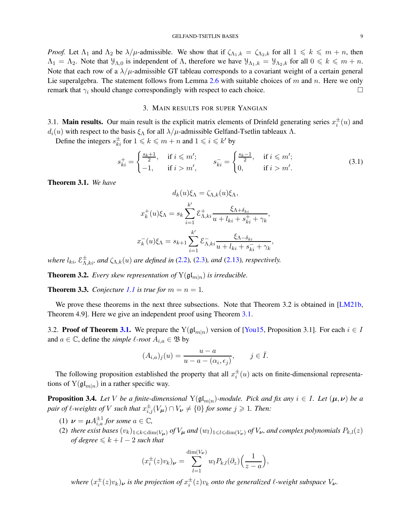<span id="page-8-6"></span>*Proof.* Let  $\Lambda_1$  and  $\Lambda_2$  be  $\lambda/\mu$ -admissible. We show that if  $\zeta_{\Lambda_1,k} = \zeta_{\Lambda_2,k}$  for all  $1 \leq k \leq m+n$ , then  $\Lambda_1 = \Lambda_2$ . Note that  $\mathcal{Y}_{\Lambda,0}$  is independent of  $\Lambda$ , therefore we have  $\mathcal{Y}_{\Lambda_1,k} = \mathcal{Y}_{\Lambda_2,k}$  for all  $0 \leq k \leq m+n$ . Note that each row of a  $\lambda/\mu$ -admissible GT tableau corresponds to a covariant weight of a certain general Lie superalgebra. The statement follows from Lemma [2.6](#page-7-0) with suitable choices of m and n. Here we only remark that  $\gamma_i$  should change correspondingly with respect to each choice.

## 3. MAIN RESULTS FOR SUPER YANGIAN

<span id="page-8-0"></span>3.1. Main results. Our main result is the explicit matrix elements of Drinfeld generating series  $x_i^{\pm}(u)$  and  $d_i(u)$  with respect to the basis  $\xi_\Lambda$  for all  $\lambda/\mu$ -admissible Gelfand-Tsetlin tableaux  $\Lambda$ .

Define the integers  $s_{ki}^{\pm}$  for  $1 \leq k \leq m + n$  and  $1 \leq i \leq k'$  by

<span id="page-8-5"></span>
$$
s_{ki}^{+} = \begin{cases} \frac{s_k + 1}{2}, & \text{if } i \leq m';\\ -1, & \text{if } i > m', \end{cases} \qquad s_{ki}^{-} = \begin{cases} \frac{s_k - 1}{2}, & \text{if } i \leq m';\\ 0, & \text{if } i > m'. \end{cases} \tag{3.1}
$$

<span id="page-8-1"></span>Theorem 3.1. *We have*

$$
d_k(u)\xi_{\Lambda} = \zeta_{\Lambda,k}(u)\xi_{\Lambda},
$$

$$
x_k^+(u)\xi_{\Lambda} = s_k \sum_{i=1}^{k'} \xi_{\Lambda,ki}^+ \frac{\xi_{\Lambda+\delta_{ki}}}{u + l_{ki} + s_{ki}^+ + \gamma_k},
$$

$$
x_k^-(u)\xi_{\Lambda} = s_{k+1} \sum_{i=1}^{k'} \xi_{\Lambda,ki}^- \frac{\xi_{\Lambda-\delta_{ki}}}{u + l_{ki} + s_{ki}^- + \gamma_k},
$$

*where*  $l_{ki}$ ,  $\mathcal{E}_{\Lambda,ki}^{\pm}$ , and  $\zeta_{\Lambda,k}(u)$  are defined in [\(2.2\)](#page-2-0), [\(2.3\)](#page-4-2), and [\(2.13\)](#page-7-1), respectively.

<span id="page-8-3"></span>**Theorem 3.2.** *Every skew representation of*  $Y(\mathfrak{gl}_{m|n})$  *is irreducible.* 

<span id="page-8-4"></span>**Theorem 3.3.** *Conjecture* [1.1](#page-1-1) *is true for*  $m = n = 1$ *.* 

We prove these theorems in the next three subsections. Note that Theorem 3.2 is obtained in [\[LM21b,](#page-22-3) Theorem 4.9]. Here we give an independent proof using Theorem [3.1.](#page-8-1)

3.2. **Proof of Theorem [3.1.](#page-8-1)** We prepare the  $Y(\mathfrak{gl}_{m|n})$  version of [\[You15,](#page-22-8) Proposition 3.1]. For each  $i \in I$ and  $a \in \mathbb{C}$ , define the *simple*  $\ell$ *-root*  $A_{i,a} \in \mathfrak{B}$  by

$$
(A_{i,a})_j(u) = \frac{u-a}{u-a - (\alpha_i, \epsilon_j)}, \qquad j \in \overline{I}.
$$

The following proposition established the property that all  $x_i^{\pm}(u)$  acts on finite-dimensional representations of  $Y(\mathfrak{gl}_{m|n})$  in a rather specific way.

<span id="page-8-2"></span>**Proposition 3.4.** *Let* V *be a finite-dimensional*  $Y(\mathfrak{gl}_{m|n})$ *-module. Pick and fix any*  $i \in I$ *. Let*  $(\mu, \nu)$  *be a pair of ℓ*-weights of V such that  $x_{i,j}^{\pm}(V_{\boldsymbol{\mu}}) \cap V_{\boldsymbol{\nu}} \neq \{0\}$  for some  $j \geqslant 1$ . Then:

- (1)  $\nu = \mu A_{i,a}^{\pm 1}$  for some  $a \in \mathbb{C}$ ,
- (2) there exist bases  $(v_k)_{1\leq k\leq \dim(V_\mu)}$  of  $V_\mu$  and  $(w_l)_{1\leq l\leq \dim(V_\nu)}$  of  $V_\nu$ , and complex polynomials  $P_{k,l}(z)$ *of degree*  $\leq k+l-2$  *such that*

$$
(x_i^{\pm}(z)v_k)_{\nu} = \sum_{l=1}^{\dim(V_{\nu})} w_l P_{k,l}(\partial_z) \left(\frac{1}{z-a}\right),
$$

where  $(x_i^{\pm}(z)v_k)$ <sub>v</sub> is the projection of  $x_i^{\pm}(z)v_k$  onto the generalized  $\ell$ -weight subspace  $V_{\nu}$ .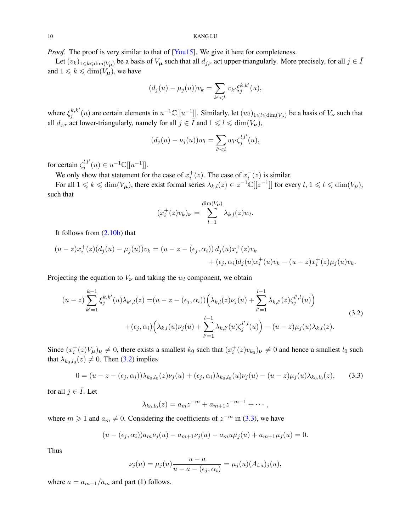<span id="page-9-2"></span>*Proof.* The proof is very similar to that of [\[You15\]](#page-22-8). We give it here for completeness.

Let  $(v_k)_{1\leq k\leq \dim(V_\mu)}$  be a basis of  $V_\mu$  such that all  $d_{j,r}$  act upper-triangularly. More precisely, for all  $j \in \overline{I}$ and  $1 \leq k \leq \dim(V_{\mu})$ , we have

$$
(d_j(u) - \mu_j(u))v_k = \sum_{k' < k} v_{k'} \xi_j^{k,k'}(u),
$$

where  $\xi_i^{k,k'}$  $j^{k,k'}(u)$  are certain elements in  $u^{-1}\mathbb{C}[[u^{-1}]]$ . Similarly, let  $(w_l)_{1\leqslant l\leqslant \dim(V_{\boldsymbol{\nu}})}$  be a basis of  $V_{\boldsymbol{\nu}}$  such that all  $d_{j,r}$  act lower-triangularly, namely for all  $j \in \overline{I}$  and  $1 \leq \ell \leq \dim(V_{\nu})$ ,

$$
(d_j(u) - \nu_j(u))w_l = \sum_{l' < l} w_{l'} \zeta_j^{l,l'}(u),
$$

for certain  $\zeta_i^{l,l'}$  $y^{l,l'}_j(u) \in u^{-1} \mathbb{C}[[u^{-1}]].$ 

We only show that statement for the case of  $x_i^+(z)$ . The case of  $x_i^-(z)$  is similar.

For all  $1 \leq k \leq \dim(V_{\mu})$ , there exist formal series  $\lambda_{k,l}(z) \in z^{-1} \mathbb{C}[[z^{-1}]]$  for every  $l, 1 \leq l \leq \dim(V_{\nu})$ , such that

$$
(x_i^+(z)v_k)_{\nu} = \sum_{l=1}^{\dim(V_{\nu})} \lambda_{k,l}(z)w_l.
$$

It follows from [\(2.10b\)](#page-5-2) that

$$
(u-z)x_i^+(z)(d_j(u) - \mu_j(u))v_k = (u-z - (\epsilon_j, \alpha_i))d_j(u)x_i^+(z)v_k + (\epsilon_j, \alpha_i)d_j(u)x_i^+(u)v_k - (u-z)x_i^+(z)\mu_j(u)v_k.
$$

Projecting the equation to  $V_{\nu}$  and taking the  $w_l$  component, we obtain

<span id="page-9-0"></span>
$$
(u-z)\sum_{k'=1}^{k-1}\xi_j^{k,k'}(u)\lambda_{k',l}(z)=(u-z-(\epsilon_j,\alpha_i))\Big(\lambda_{k,l}(z)\nu_j(u)+\sum_{l'=1}^{l-1}\lambda_{k,l'}(z)\zeta_j^{l',l}(u)\Big)\\+(\epsilon_j,\alpha_i)\Big(\lambda_{k,l}(u)\nu_j(u)+\sum_{l'=1}^{l-1}\lambda_{k,l'}(u)\zeta_j^{l',l}(u)\Big)-(u-z)\mu_j(u)\lambda_{k,l}(z).
$$
\n(3.2)

Since  $(x_i^+(z)V_\mu)_{\nu} \neq 0$ , there exists a smallest  $k_0$  such that  $(x_i^+(z)v_{k_0})_{\nu} \neq 0$  and hence a smallest  $l_0$  such that  $\lambda_{k_0,l_0}(z) \neq 0$ . Then [\(3.2\)](#page-9-0) implies

<span id="page-9-1"></span>
$$
0 = (u - z - (\epsilon_j, \alpha_i))\lambda_{k_0, l_0}(z)\nu_j(u) + (\epsilon_j, \alpha_i)\lambda_{k_0, l_0}(u)\nu_j(u) - (u - z)\mu_j(u)\lambda_{k_0, l_0}(z), \quad (3.3)
$$

for all  $j \in \overline{I}$ . Let

$$
\lambda_{k_0,l_0}(z) = a_m z^{-m} + a_{m+1} z^{-m-1} + \cdots,
$$

where  $m \geq 1$  and  $a_m \neq 0$ . Considering the coefficients of  $z^{-m}$  in [\(3.3\)](#page-9-1), we have

$$
(u - (\epsilon_j, \alpha_i))a_m \nu_j(u) - a_{m+1} \nu_j(u) - a_m u \mu_j(u) + a_{m+1} \mu_j(u) = 0.
$$

Thus

$$
\nu_j(u) = \mu_j(u) \frac{u - a}{u - a - (\epsilon_j, \alpha_i)} = \mu_j(u) (A_{i,a})_j(u),
$$

where  $a = a_{m+1}/a_m$  and part (1) follows.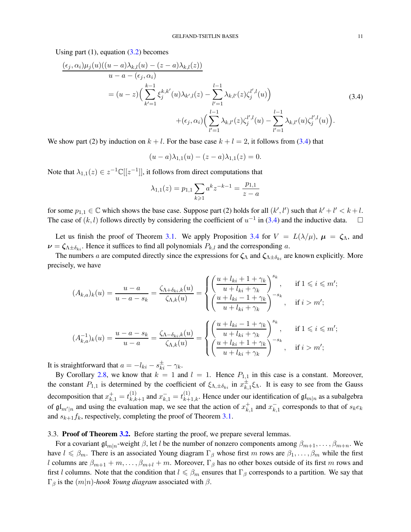Using part  $(1)$ , equation  $(3.2)$  becomes

<span id="page-10-0"></span>
$$
\frac{(\epsilon_j, \alpha_i)\mu_j(u)((u-a)\lambda_{k,l}(u) - (z-a)\lambda_{k,l}(z))}{u-a - (\epsilon_j, \alpha_i)}
$$
\n
$$
= (u-z) \Big( \sum_{k'=1}^{k-1} \xi_j^{k,k'}(u)\lambda_{k',l}(z) - \sum_{l'=1}^{l-1} \lambda_{k,l'}(z)\zeta_j^{l',l}(u) \Big) + (\epsilon_j, \alpha_i) \Big( \sum_{l'=1}^{l-1} \lambda_{k,l'}(z)\zeta_j^{l',l}(u) - \sum_{l'=1}^{l-1} \lambda_{k,l'}(u)\zeta_j^{l',l}(u) \Big). \tag{3.4}
$$

We show part (2) by induction on  $k + l$ . For the base case  $k + l = 2$ , it follows from [\(3.4\)](#page-10-0) that

$$
(u-a)\lambda_{1,1}(u) - (z-a)\lambda_{1,1}(z) = 0.
$$

Note that  $\lambda_{1,1}(z) \in z^{-1} \mathbb{C}[[z^{-1}]]$ , it follows from direct computations that

$$
\lambda_{1,1}(z) = p_{1,1} \sum_{k \ge 1} a^k z^{-k-1} = \frac{p_{1,1}}{z - a}
$$

for some  $p_{1,1} \in \mathbb{C}$  which shows the base case. Suppose part (2) holds for all  $(k', l')$  such that  $k' + l' < k + l$ . The case of  $(k, l)$  follows directly by considering the coefficient of  $u^{-1}$  in [\(3.4\)](#page-10-0) and the inductive data.  $\square$ 

Let us finish the proof of Theorem [3.1.](#page-8-1) We apply Proposition [3.4](#page-8-2) for  $V = L(\lambda/\mu)$ ,  $\mu = \zeta_{\Lambda}$ , and  $\nu = \zeta_{\Lambda \pm \delta_{ki}}$ . Hence it suffices to find all polynomials  $P_{k,l}$  and the corresponding a.

The numbers a are computed directly since the expressions for  $\zeta_{\Lambda}$  and  $\zeta_{\Lambda\pm\delta_{k}}$  are known explicitly. More precisely, we have

$$
(A_{k,a})_k(u) = \frac{u-a}{u-a-s_k} = \frac{\zeta_{\Lambda+\delta_{ki},k}(u)}{\zeta_{\Lambda,k}(u)} = \begin{cases} \left(\frac{u+l_{ki}+1+\gamma_k}{u+l_{ki}+\gamma_k}\right)^{s_k}, & \text{if } 1 \leq i \leq m';\\ \left(\frac{u+l_{ki}-1+\gamma_k}{u+l_{ki}+\gamma_k}\right)^{-s_k}, & \text{if } i > m'; \end{cases}
$$

$$
(A_{k,a}^{-1})_k(u) = \frac{u-a-s_k}{u-a} = \frac{\zeta_{\Lambda-\delta_{ki},k}(u)}{\zeta_{\Lambda,k}(u)} = \begin{cases} \left(\frac{u+l_{ki}-1+\gamma_k}{u+l_{ki}+\gamma_k}\right)^{s_k}, & \text{if } 1 \leq i \leq m';\\ \left(\frac{u+l_{ki}+1+\gamma_k}{u+l_{ki}+\gamma_k}\right)^{-s_k}, & \text{if } i > m'; \end{cases}
$$

It is straightforward that  $a = -l_{ki} - s_{ki}^{\pm} - \gamma_k$ .

By Corollary [2.8,](#page-7-2) we know that  $k = 1$  and  $l = 1$ . Hence  $P_{1,1}$  in this case is a constant. Moreover, the constant  $P_{1,1}$  is determined by the coefficient of  $\xi_{\Lambda,\pm\delta_{ki}}$  in  $x_k^{\pm}$  $\sum_{k=1}^{\pm} \xi_{\Lambda}$ . It is easy to see from the Gauss decomposition that  $x_{k,1}^+ = t_{k,k+1}^{(1)}$  and  $x_{k,1}^- = t_{k+1,k}^{(1)}$ . Hence under our identification of  $\mathfrak{gl}_{m|n}$  as a subalgebra of  $\mathfrak{gl}_{m'|n}$  and using the evaluation map, we see that the action of  $x_k^+$  $_{k,1}^+$  and  $x_k^ _{k,1}^-$  corresponds to that of  $s_ke_k$ and  $s_{k+1}f_k$ , respectively, completing the proof of Theorem [3.1.](#page-8-1)

## 3.3. Proof of Theorem [3.2.](#page-8-3) Before starting the proof, we prepare several lemmas.

For a covariant  $\mathfrak{gl}_{m|n}$ -weight  $\beta$ , let l be the number of nonzero components among  $\beta_{m+1}, \ldots, \beta_{m+n}$ . We have  $l \le \beta_m$ . There is an associated Young diagram  $\Gamma_\beta$  whose first m rows are  $\beta_1, \dots, \beta_m$  while the first l columns are  $\beta_{m+1} + m, \ldots, \beta_{m+l} + m$ . Moreover,  $\Gamma_\beta$  has no other boxes outside of its first m rows and first l columns. Note that the condition that  $l \le \beta_m$  ensures that  $\Gamma_\beta$  corresponds to a partition. We say that  $\Gamma_{\beta}$  is the  $(m|n)$ -hook Young diagram associated with  $\beta$ .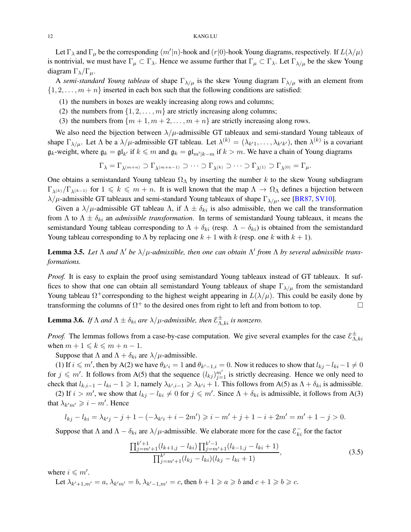<span id="page-11-3"></span>Let  $\Gamma_\lambda$  and  $\Gamma_\mu$  be the corresponding  $(m'|n)$ -hook and  $(r|0)$ -hook Young diagrams, respectively. If  $L(\lambda/\mu)$ is nontrivial, we must have  $\Gamma_\mu \subset \Gamma_\lambda$ . Hence we assume further that  $\Gamma_\mu \subset \Gamma_\lambda$ . Let  $\Gamma_{\lambda/\mu}$  be the skew Young diagram  $\Gamma_{\lambda}/\Gamma_{\mu}$ .

A *semi-standard Young tableau* of shape  $\Gamma_{\lambda/\mu}$  is the skew Young diagram  $\Gamma_{\lambda/\mu}$  with an element from  $\{1, 2, \ldots, m + n\}$  inserted in each box such that the following conditions are satisfied:

- (1) the numbers in boxes are weakly increasing along rows and columns;
- (2) the numbers from  $\{1, 2, \ldots, m\}$  are strictly increasing along columns;
- (3) the numbers from  $\{m+1, m+2, \ldots, m+n\}$  are strictly increasing along rows.

We also need the bijection between  $\lambda/\mu$ -admissible GT tableaux and semi-standard Young tableaux of shape  $\Gamma_{\lambda/\mu}$ . Let  $\Lambda$  be a  $\lambda/\mu$ -admissible GT tableau. Let  $\lambda^{(k)} = (\lambda_{k'1}, \dots, \lambda_{k'k'})$ , then  $\lambda^{(k)}$  is a covariant  $\mathfrak{g}_k$ -weight, where  $\mathfrak{g}_k = \mathfrak{gl}_{k'}$  if  $k \leq m$  and  $\mathfrak{g}_k = \mathfrak{gl}_{m'|k-m}$  if  $k > m$ . We have a chain of Young diagrams

$$
\Gamma_\lambda=\Gamma_{\lambda^{(m+n)}}\supset \Gamma_{\lambda^{(m+n-1)}}\supset \cdots \supset \Gamma_{\lambda^{(k)}}\supset \cdots \supset \Gamma_{\lambda^{(1)}}\supset \Gamma_{\lambda^{(0)}}=\Gamma_\mu.
$$

One obtains a semistandard Young tableau  $\Omega_{\Lambda}$  by inserting the number k to the skew Young subdiagram  $\Gamma_{\lambda(k)}/\Gamma_{\lambda(k-1)}$  for  $1 \leq k \leq m+n$ . It is well known that the map  $\Lambda \to \Omega_{\Lambda}$  defines a bijection between  $\lambda/\mu$ -admissible GT tableaux and semi-standard Young tableaux of shape  $\Gamma_{\lambda/\mu}$ , see [\[BR87,](#page-21-3) [SV10\]](#page-22-9).

Given a  $\lambda/\mu$ -admissible GT tableau  $\Lambda$ , if  $\Lambda \pm \delta_{ki}$  is also admissible, then we call the transformation from  $\Lambda$  to  $\Lambda \pm \delta_{ki}$  an *admissible transformation*. In terms of semistandard Young tableaux, it means the semistandard Young tableau corresponding to  $\Lambda + \delta_{ki}$  (resp.  $\Lambda - \delta_{ki}$ ) is obtained from the semistandard Young tableau corresponding to  $\Lambda$  by replacing one  $k + 1$  with  $k$  (resp. one k with  $k + 1$ ).

<span id="page-11-1"></span>**Lemma 3.5.** Let  $\Lambda$  and  $\Lambda'$  be  $\lambda/\mu$ -admissible, then one can obtain  $\Lambda'$  from  $\Lambda$  by several admissible trans*formations.*

*Proof.* It is easy to explain the proof using semistandard Young tableaux instead of GT tableaux. It suffices to show that one can obtain all semistandard Young tableaux of shape  $\Gamma_{\lambda/\mu}$  from the semistandard Young tableau  $\Omega^+$ corresponding to the highest weight appearing in  $L(\lambda/\mu)$ . This could be easily done by transforming the columns of  $\Omega^+$  to the desired ones from right to left and from bottom to top.

<span id="page-11-2"></span>**Lemma 3.6.** If  $\Lambda$  and  $\Lambda \pm \delta_{ki}$  are  $\lambda/\mu$ -admissible, then  $\mathcal{E}_{\Lambda,ki}^{\pm}$  is nonzero.

*Proof.* The lemmas follows from a case-by-case computation. We give several examples for the case  $\mathcal{E}^{\pm}_{\Lambda}$  $_{\Lambda,ki}$ when  $m + 1 \leq k \leq m + n - 1$ .

Suppose that  $\Lambda$  and  $\Lambda + \delta_{ki}$  are  $\lambda/\mu$ -admissible.

(1) If  $i \leq m'$ , then by A(2) we have  $\theta_{k'i} = 1$  and  $\theta_{k'-1,i} = 0$ . Now it reduces to show that  $l_{kj} - l_{ki} - 1 \neq 0$ for  $j \leq m'$ . It follows from A(5) that the sequence  $(l_{kj})_{j=1}^{m'}$  is strictly decreasing. Hence we only need to check that  $l_{k,i-1} - l_{ki} - 1 \geq 1$ , namely  $\lambda_{k',i-1} \geq \lambda_{k'i} + 1$ . This follows from A(5) as  $\Lambda + \delta_{ki}$  is admissible.

(2) If  $i > m'$ , we show that  $l_{kj} - l_{ki} \neq 0$  for  $j \leq m'$ . Since  $\Lambda + \delta_{ki}$  is admissible, it follows from A(3) that  $\lambda_{k'm'} \geqslant i - m'$ . Hence

$$
l_{kj} - l_{ki} = \lambda_{k'j} - j + 1 - (-\lambda_{k'i} + i - 2m') \geqslant i - m' + j + 1 - i + 2m' = m' + 1 - j > 0.
$$

Suppose that  $\Lambda$  and  $\Lambda - \delta_{ki}$  are  $\lambda/\mu$ -admissible. We elaborate more for the case  $\mathcal{E}_{ki}^-$  for the factor

<span id="page-11-0"></span>
$$
\frac{\prod_{j=m'+1}^{k'+1} (l_{k+1,j} - l_{ki}) \prod_{j=m'+1}^{k'-1} (l_{k-1,j} - l_{ki} + 1)}{\prod_{j=m'+1}^{k'} (l_{kj} - l_{ki}) (l_{kj} - l_{ki} + 1)},
$$
\n(3.5)

where  $i \leq m'$ .

Let 
$$
\lambda_{k'+1,m'} = a
$$
,  $\lambda_{k'm'} = b$ ,  $\lambda_{k'-1,m'} = c$ , then  $b+1 \ge a \ge b$  and  $c+1 \ge b \ge c$ .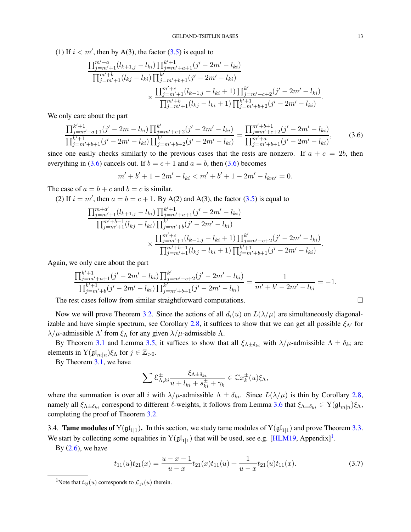<span id="page-12-4"></span>(1) If  $i < m'$ , then by A(3), the factor [\(3.5\)](#page-11-0) is equal to

$$
\frac{\prod_{j=m'+1}^{m'+a} (l_{k+1,j} - l_{ki}) \prod_{j=m'+a+1}^{k'+1} (j'-2m'-l_{ki})}{\prod_{j=m'+1}^{m'+b} (l_{kj} - l_{ki}) \prod_{j=m'+b+1}^{k'} (j'-2m'-l_{ki})}
$$
\n
$$
\times \frac{\prod_{j=m'+1}^{m'+c} (l_{k-1,j} - l_{ki}+1) \prod_{j=m'+c+2}^{k'} (j'-2m'-l_{ki})}{\prod_{j=m'+1}^{m'+b} (l_{kj} - l_{ki}+1) \prod_{j=m'+b+2}^{k'+1} (j'-2m'-l_{ki})}.
$$

We only care about the part

<span id="page-12-1"></span>
$$
\frac{\prod_{j=m'+a+1}^{k'+1} (j'-2m-l_{ki}) \prod_{j=m'+c+2}^{k'} (j'-2m'-l_{ki})}{\prod_{j=m'+b+1}^{k'+1} (j'-2m'-l_{ki}) \prod_{j=m'+b+2}^{k'} (j'-2m'-l_{ki})} = \frac{\prod_{j=m'+c+2}^{m'+b+1} (j'-2m'-l_{ki})}{\prod_{j=m'+b+1}^{m'+a} (j'-2m'-l_{ki})},
$$
(3.6)

since one easily checks similarly to the previous cases that the rests are nonzero. If  $a + c = 2b$ , then everything in [\(3.6\)](#page-12-1) cancels out. If  $b = c + 1$  and  $a = b$ , then [\(3.6\)](#page-12-1) becomes

$$
m' + b' + 1 - 2m' - l_{ki} < m' + b' + 1 - 2m' - l_{km'} = 0.
$$

The case of  $a = b + c$  and  $b = c$  is similar.

(2) If  $i = m'$ , then  $a = b = c + 1$ . By A(2) and A(3), the factor [\(3.5\)](#page-11-0) is equal to

$$
\frac{\prod_{j=m'+1}^{m+a'}(l_{k+1,j} - l_{ki}) \prod_{j=m'+a+1}^{k'+1} (j' - 2m' - l_{ki})}{\prod_{j=m'+1}^{m'+b-1} (l_{kj} - l_{ki}) \prod_{j=m'+b}^{k'} (j' - 2m' - l_{ki})}
$$
\n
$$
\times \frac{\prod_{j=m'+1}^{m'+c} (l_{k-1,j} - l_{ki} + 1) \prod_{j=m'+c+2}^{k'} (j' - 2m' - l_{ki})}{\prod_{j=m'+1}^{m'+b-1} (l_{kj} - l_{ki} + 1) \prod_{j=m'+b+1}^{k'+1} (j' - 2m' - l_{ki})}
$$

Again, we only care about the part

$$
\frac{\prod_{j=m'+a+1}^{k'+1} (j'-2m'-l_{ki}) \prod_{j=m'+c+2}^{k'} (j'-2m'-l_{ki})}{\prod_{j=m'+b}^{k'+1} (j'-2m'-l_{ki}) \prod_{j=m'+b+1}^{k'} (j'-2m'-l_{ki})} = \frac{1}{m'+b'-2m'-l_{ki}} = -1.
$$

The rest cases follow from similar straightforward computations.

Now we will prove Theorem [3.2.](#page-8-3) Since the actions of all  $d_i(u)$  on  $L(\lambda/\mu)$  are simultaneously diagonal-izable and have simple spectrum, see Corollary [2.8,](#page-7-2) it suffices to show that we can get all possible  $\xi_{\Lambda'}$  for  $\lambda/\mu$ -admissible Λ' from  $\xi_\Lambda$  for any given  $\lambda/\mu$ -admissible Λ.

By Theorem [3.1](#page-8-1) and Lemma [3.5,](#page-11-1) it suffices to show that all  $\xi_{\Lambda \pm \delta_{ki}}$  with  $\lambda/\mu$ -admissible  $\Lambda \pm \delta_{ki}$  are elements in  $Y(\mathfrak{gl}_{m|n})\xi_{\Lambda}$  for  $j \in \mathbb{Z}_{>0}$ .

By Theorem [3.1,](#page-8-1) we have

$$
\sum \mathcal{E}_{\Lambda,ki}^{\pm} \frac{\xi_{\Lambda \pm \delta_{ki}}}{u + l_{ki} + s_{ki}^{\pm} + \gamma_k} \in \mathbb{C}x_k^{\pm}(u)\xi_{\Lambda},
$$

where the summation is over all i with  $\lambda/\mu$ -admissible  $\Lambda \pm \delta_{ki}$ . Since  $L(\lambda/\mu)$  is thin by Corollary [2.8,](#page-7-2) namely all  $\xi_{\Lambda \pm \delta_{ki}}$  correspond to different  $\ell$ -weights, it follows from Lemma [3.6](#page-11-2) that  $\xi_{\Lambda \pm \delta_{ki}} \in Y(\mathfrak{gl}_{m|n})\xi_{\Lambda}$ , completing the proof of Theorem [3.2.](#page-8-3)

<span id="page-12-0"></span>3.4. **Tame modules of**  $Y(\mathfrak{gl}_{1|1})$ . In this section, we study tame modules of  $Y(\mathfrak{gl}_{1|1})$  and prove Theorem [3.3.](#page-8-4) We start by collecting some equalities in  $Y(gl_{1|1})$  $Y(gl_{1|1})$  $Y(gl_{1|1})$  that will be used, see e.g. [\[HLM19,](#page-21-8) Appendix]<sup>1</sup>.

By  $(2.6)$ , we have

<span id="page-12-3"></span>
$$
t_{11}(u)t_{21}(x) = \frac{u-x-1}{u-x}t_{21}(x)t_{11}(u) + \frac{1}{u-x}t_{21}(u)t_{11}(x).
$$
 (3.7)

.

<span id="page-12-2"></span><sup>&</sup>lt;sup>1</sup>Note that  $t_{ij}(u)$  corresponds to  $\mathcal{L}_{ji}(u)$  therein.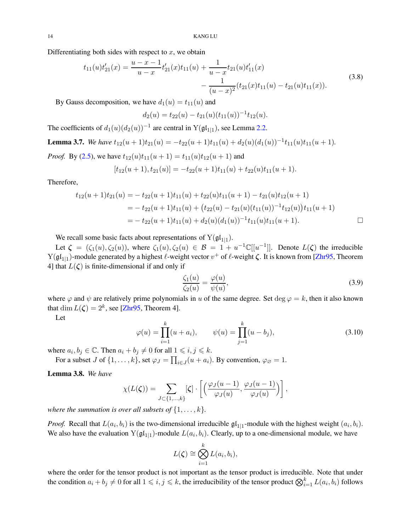<span id="page-13-5"></span><span id="page-13-1"></span>Differentiating both sides with respect to  $x$ , we obtain

$$
t_{11}(u)t'_{21}(x) = \frac{u-x-1}{u-x}t'_{21}(x)t_{11}(u) + \frac{1}{u-x}t_{21}(u)t'_{11}(x) - \frac{1}{(u-x)^2}(t_{21}(x)t_{11}(u) - t_{21}(u)t_{11}(x)).
$$
\n(3.8)

By Gauss decomposition, we have  $d_1(u) = t_{11}(u)$  and

$$
d_2(u) = t_{22}(u) - t_{21}(u)(t_{11}(u))^{-1}t_{12}(u).
$$

The coefficients of  $d_1(u)(d_2(u))^{-1}$  are central in  $Y(\mathfrak{gl}_{1|1})$ , see Lemma [2.2.](#page-5-1)

<span id="page-13-2"></span>**Lemma 3.7.** *We have*  $t_{12}(u + 1)t_{21}(u) = -t_{22}(u + 1)t_{11}(u) + d_2(u)(d_1(u))^{-1}t_{11}(u)t_{11}(u + 1)$ . *Proof.* By [\(2.5\)](#page-4-1), we have  $t_{12}(u)t_{11}(u+1) = t_{11}(u)t_{12}(u+1)$  and

$$
[t_{12}(u+1), t_{21}(u)] = -t_{22}(u+1)t_{11}(u) + t_{22}(u)t_{11}(u+1).
$$

Therefore,

$$
t_{12}(u+1)t_{21}(u) = -t_{22}(u+1)t_{11}(u) + t_{22}(u)t_{11}(u+1) - t_{21}(u)t_{12}(u+1)
$$
  
= 
$$
-t_{22}(u+1)t_{11}(u) + (t_{22}(u) - t_{21}(u)(t_{11}(u))^{-1}t_{12}(u))t_{11}(u+1)
$$
  
= 
$$
-t_{22}(u+1)t_{11}(u) + d_{2}(u)(d_{1}(u))^{-1}t_{11}(u)t_{11}(u+1).
$$

We recall some basic facts about representations of  $Y(gl_{1|1})$ .

Let  $\zeta = (\zeta_1(u), \zeta_2(u))$ , where  $\zeta_1(u), \zeta_2(u) \in \mathcal{B} = 1 + u^{-1} \mathbb{C}[[u^{-1}]]$ . Denote  $L(\zeta)$  the irreducible  $Y(gl_{1|1})$ -module generated by a highest  $\ell$ -weight vector  $v^+$  of  $\ell$ -weight  $\zeta$ . It is known from [\[Zhr95,](#page-22-1) Theorem 4] that  $L(\zeta)$  is finite-dimensional if and only if

<span id="page-13-3"></span>
$$
\frac{\zeta_1(u)}{\zeta_2(u)} = \frac{\varphi(u)}{\psi(u)},\tag{3.9}
$$

where  $\varphi$  and  $\psi$  are relatively prime polynomials in u of the same degree. Set deg  $\varphi = k$ , then it also known that  $\dim L(\zeta) = 2^k$ , see [\[Zhr95,](#page-22-1) Theorem 4].

Let

<span id="page-13-4"></span>
$$
\varphi(u) = \prod_{i=1}^{k} (u + a_i), \qquad \psi(u) = \prod_{j=1}^{k} (u - b_j), \tag{3.10}
$$

where  $a_i, b_j \in \mathbb{C}$ . Then  $a_i + b_j \neq 0$  for all  $1 \leq i, j \leq k$ .

For a subset J of  $\{1, \ldots, k\}$ , set  $\varphi_J = \prod_{i \in J} (u + a_i)$ . By convention,  $\varphi_{\emptyset} = 1$ .

<span id="page-13-0"></span>Lemma 3.8. *We have*

$$
\chi(L(\zeta)) = \sum_{J \subset \{1,\dots,k\}} [\zeta] \cdot \left[ \left( \frac{\varphi_J(u-1)}{\varphi_J(u)}, \frac{\varphi_J(u-1)}{\varphi_J(u)} \right) \right],
$$

*where the summation is over all subsets of*  $\{1, \ldots, k\}$ *.* 

*Proof.* Recall that  $L(a_i, b_i)$  is the two-dimensional irreducible  $\mathfrak{gl}_{1|1}$ -module with the highest weight  $(a_i, b_i)$ . We also have the evaluation  $Y(\mathfrak{gl}_{1|1})$ -module  $L(a_i, b_i)$ . Clearly, up to a one-dimensional module, we have

$$
L(\zeta) \cong \bigotimes_{i=1}^k L(a_i, b_i),
$$

where the order for the tensor product is not important as the tensor product is irreducible. Note that under the condition  $a_i + b_j \neq 0$  for all  $1 \leq i, j \leq k$ , the irreducibility of the tensor product  $\bigotimes_{i=1}^k L(a_i, b_i)$  follows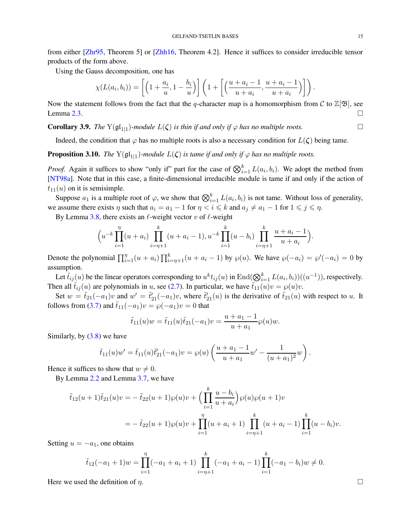<span id="page-14-2"></span>from either [\[Zhr95,](#page-22-1) Theorem 5] or [\[Zhh16,](#page-22-16) Theorem 4.2]. Hence it suffices to consider irreducible tensor products of the form above.

Using the Gauss decomposition, one has

$$
\chi(L(a_i,b_i)) = \left[\left(1+\frac{a_i}{u},1-\frac{b_i}{u}\right)\right]\left(1+\left[\left(\frac{u+a_i-1}{u+a_i},\frac{u+a_i-1}{u+a_i}\right)\right]\right).
$$

Now the statement follows from the fact that the q-character map is a homomorphism from C to  $\mathbb{Z}[\mathfrak{B}]$ , see Lemma [2.3.](#page-6-1)

<span id="page-14-0"></span>**Corollary 3.9.** *The*  $Y(\mathfrak{gl}_{1|1})$ *-module*  $L(\zeta)$  *is thin if and only if*  $\varphi$  *has no multiple roots.* 

Indeed, the condition that  $\varphi$  has no multiple roots is also a necessary condition for  $L(\zeta)$  being tame.

<span id="page-14-1"></span>**Proposition 3.10.** *The*  $Y(\mathfrak{gl}_{1|1})$ -module  $L(\zeta)$  is tame if and only if  $\varphi$  has no multiple roots.

*Proof.* Again it suffices to show "only if" part for the case of  $\bigotimes_{i=1}^{k} L(a_i, b_i)$ . We adopt the method from [\[NT98a\]](#page-22-4). Note that in this case, a finite-dimensional irreducible module is tame if and only if the action of  $t_{11}(u)$  on it is semisimple.

Suppose  $a_1$  is a multiple root of  $\varphi$ , we show that  $\bigotimes_{i=1}^k L(a_i, b_i)$  is not tame. Without loss of generality, we assume there exists  $\eta$  such that  $a_i = a_1 - 1$  for  $\eta < i \leq k$  and  $a_j \neq a_1 - 1$  for  $1 \leq j \leq \eta$ .

By Lemma [3.8,](#page-13-0) there exists an  $\ell$ -weight vector v of  $\ell$ -weight

$$
\left(u^{-k}\prod_{i=1}^{\eta}(u+a_i)\prod_{i=\eta+1}^{k}(u+a_i-1),u^{-k}\prod_{i=1}^{k}(u-b_i)\prod_{i=\eta+1}^{k}\frac{u+a_i-1}{u+a_i}\right).
$$

Denote the polynomial  $\prod_{i=1}^{n} (u + a_i) \prod_{i=\eta+1}^{k} (u + a_i - 1)$  by  $\wp(u)$ . We have  $\wp(-a_i) = \wp'(-a_i) = 0$  by assumption.

Let  $\tilde{t}_{ij}(u)$  be the linear operators corresponding to  $u^kt_{ij}(u)$  in  $\text{End}(\bigotimes_{i=1}^k L(a_i,b_i))((u^{-1}))$ , respectively. Then all  $\tilde{t}_{ij}(u)$  are polynomials in u, see [\(2.7\)](#page-4-4). In particular, we have  $\tilde{t}_{11}(u)v = \wp(u)v$ .

Set  $w = \tilde{t}_{21}(-a_1)v$  and  $w' = \tilde{t}'_{21}(-a_1)v$ , where  $\tilde{t}'_{21}(u)$  is the derivative of  $\tilde{t}_{21}(u)$  with respect to u. It follows from [\(3.7\)](#page-12-3) and  $\tilde{t}_{11}(-a_1)v = \wp(-a_1)v = 0$  that

$$
\tilde{t}_{11}(u)w = \tilde{t}_{11}(u)\tilde{t}_{21}(-a_1)v = \frac{u+a_1-1}{u+a_1}\wp(u)w.
$$

Similarly, by  $(3.8)$  we have

$$
\tilde{t}_{11}(u)w' = \tilde{t}_{11}(u)\tilde{t}_{21}'(-a_1)v = \wp(u)\left(\frac{u+a_1-1}{u+a_1}w' - \frac{1}{(u+a_1)^2}w\right).
$$

Hence it suffices to show that  $w \neq 0$ .

By Lemma [2.2](#page-5-1) and Lemma [3.7,](#page-13-2) we have

$$
\tilde{t}_{12}(u+1)\tilde{t}_{21}(u)v = -\tilde{t}_{22}(u+1)\wp(u)v + \left(\prod_{i=1}^{k} \frac{u-b_i}{u+a_i}\right)\wp(u)\wp(u+1)v
$$
\n
$$
= -\tilde{t}_{22}(u+1)\wp(u)v + \prod_{i=1}^{n} (u+a_i+1) \prod_{i=\eta+1}^{k} (u+a_i-1) \prod_{i=1}^{k} (u-b_i)v.
$$

Setting  $u = -a_1$ , one obtains

$$
\tilde{t}_{12}(-a_1+1)w = \prod_{i=1}^{\eta}(-a_1+a_i+1)\prod_{i=\eta+1}^k(-a_1+a_i-1)\prod_{i=1}^k(-a_1-b_i)w \neq 0.
$$

Here we used the definition of  $\eta$ .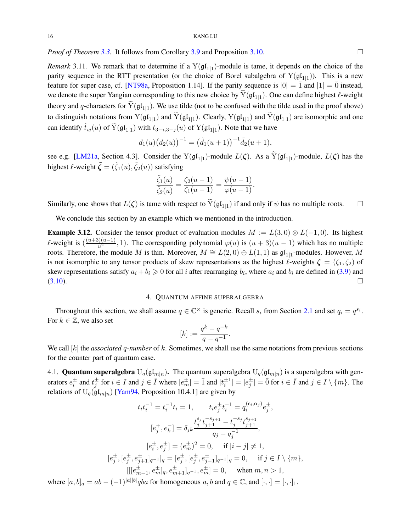<span id="page-15-1"></span>*Proof of Theorem [3.3.](#page-8-4)* It follows from Corollary [3.9](#page-14-0) and Proposition [3.10.](#page-14-1) □

*Remark* 3.11. We remark that to determine if a  $Y(\mathfrak{gl}_{1|1})$ -module is tame, it depends on the choice of the parity sequence in the RTT presentation (or the choice of Borel subalgebra of  $Y(\mathfrak{gl}_{1|1})$ ). This is a new feature for super case, cf. [\[NT98a,](#page-22-4) Proposition 1.14]. If the parity sequence is  $|0| = \overline{1}$  and  $|1| = \overline{0}$  instead, we denote the super Yangian corresponding to this new choice by  $Y(\mathfrak{gl}_{1|1})$ . One can define highest  $\ell$ -weight theory and q-characters for  $Y(\mathfrak{gl}_{1|1})$ . We use tilde (not to be confused with the tilde used in the proof above) to distinguish notations from  $Y(gl_{1|1})$  and  $Y(gl_{1|1})$ . Clearly,  $Y(gl_{1|1})$  and  $Y(gl_{1|1})$  are isomorphic and one can identify  $\tilde{t}_{ij}(u)$  of  $\tilde{Y}(\frak{gl}_{1|1})$  with  $t_{3-i,3-j}(u)$  of  $Y(\frak{gl}_{1|1})$ . Note that we have

$$
d_1(u)(d_2(u))^{-1} = (\tilde{d}_1(u+1))^{-1}\tilde{d}_2(u+1),
$$

see e.g. [\[LM21a,](#page-22-17) Section 4.3]. Consider the Y( $\mathfrak{gl}_{1|1}$ )-module  $L(\zeta)$ . As a Y( $\mathfrak{gl}_{1|1}$ )-module,  $L(\zeta)$  has the highest  $\ell$ -weight  $\tilde{\zeta} = (\tilde{\zeta}_1(u), \tilde{\zeta}_2(u))$  satisfying

$$
\frac{\tilde{\zeta}_1(u)}{\tilde{\zeta}_2(u)} = \frac{\zeta_2(u-1)}{\zeta_1(u-1)} = \frac{\psi(u-1)}{\varphi(u-1)}.
$$

Similarly, one shows that  $L(\zeta)$  is tame with respect to  $\overline{Y}(\mathfrak{gl}_{1|1})$  if and only if  $\psi$  has no multiple roots.  $\Box$ 

We conclude this section by an example which we mentioned in the introduction.

**Example 3.12.** Consider the tensor product of evaluation modules  $M := L(3,0) \otimes L(-1,0)$ . Its highest  $\ell$ -weight is  $\left(\frac{(u+3)(u-1)}{u^2}, 1\right)$ . The corresponding polynomial  $\varphi(u)$  is  $(u+3)(u-1)$  which has no multiple roots. Therefore, the module M is thin. Moreover,  $M \cong L(2,0) \oplus L(1,1)$  as  $\mathfrak{gl}_{1|1}$ -modules. However, M is not isomorphic to any tensor products of skew representations as the highest  $\ell$ -weights  $\zeta = (\zeta_1, \zeta_2)$  of skew representations satisfy  $a_i + b_i \geq 0$  for all i after rearranging  $b_i$ , where  $a_i$  and  $b_i$  are defined in [\(3.9\)](#page-13-3) and  $(3.10).$  $(3.10).$ 

# 4. QUANTUM AFFINE SUPERALGEBRA

<span id="page-15-0"></span>Throughout this section, we shall assume  $q \in \mathbb{C}^\times$  is generic. Recall  $s_i$  from Section [2.1](#page-1-3) and set  $q_i = q^{s_i}$ . For  $k \in \mathbb{Z}$ , we also set

$$
[k] := \frac{q^k - q^{-k}}{q - q^{-1}}.
$$

We call [k] the *associated* q-number of k. Sometimes, we shall use the same notations from previous sections for the counter part of quantum case.

4.1. **Quantum superalgebra**  $U_q(\mathfrak{gl}_{m|n})$ . The quantum superalgebra  $U_q(\mathfrak{gl}_{m|n})$  is a superalgebra with generators  $e_i^{\pm}$  and  $t_j^{\pm}$  for  $i \in I$  and  $j \in \overline{I}$  where  $|e_m^{\pm}| = \overline{1}$  and  $|t_i^{\pm 1}| = |e_j^{\pm}| = \overline{0}$  for  $i \in \overline{I}$  and  $j \in I \setminus \{m\}$ . The relations of  $U_q(\mathfrak{gl}_{m|n})$  [\[Yam94,](#page-22-18) Proposition 10.4.1] are given by

$$
t_i t_i^{-1} = t_i^{-1} t_i = 1, \t t_i e_j^{\pm} t_i^{-1} = q_i^{(\epsilon_i, \alpha_j)} e_j^{\pm},
$$
  
\n
$$
[e_j^+, e_k^-] = \delta_{jk} \frac{t_j^{s_j} t_j^{-s_{j+1}} - t_j^{-s_j} t_{j+1}^{s_{j+1}}}{q_j - q_j^{-1}},
$$
  
\n
$$
[e_i^{\pm}, e_j^{\pm}] = (e_m^{\pm})^2 = 0, \t \text{ if } |i - j| \neq 1,
$$
  
\n
$$
[e_j^{\pm}, [e_j^{\pm}, e_{j+1}^{\pm}]_{q^{-1}}]_q = [e_j^{\pm}, [e_j^{\pm}, e_{j-1}^{\pm}]_{q^{-1}}]_q = 0, \t \text{ if } j \in I \setminus \{m\},
$$
  
\n
$$
[[[e_{m-1}^{\pm}, e_m^{\pm}]_q, e_{m+1}^{\pm}]_{q^{-1}}, e_m^{\pm}] = 0, \t \text{ when } m, n > 1,
$$

where  $[a, b]_q = ab - (-1)^{|a||b|} qba$  for homogeneous  $a, b$  and  $q \in \mathbb{C}$ , and  $[\cdot, \cdot] = [\cdot, \cdot]_1$ .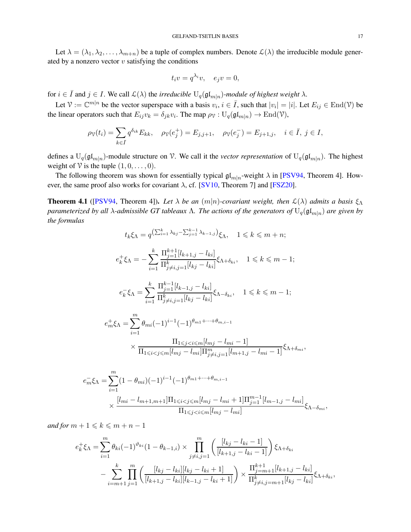<span id="page-16-1"></span>Let  $\lambda = (\lambda_1, \lambda_2, \dots, \lambda_{m+n})$  be a tuple of complex numbers. Denote  $\mathcal{L}(\lambda)$  the irreducible module generated by a nonzero vector  $v$  satisfying the conditions

$$
t_i v = q^{\lambda_i} v, \quad e_j v = 0,
$$

for  $i \in \overline{I}$  and  $j \in I$ . We call  $\mathcal{L}(\lambda)$  the *irreducible*  $U_q(\mathfrak{gl}_{m|n})$ *-module of highest weight*  $\lambda$ .

Let  $\mathcal{V} := \mathbb{C}^{m|n}$  be the vector superspace with a basis  $v_i, i \in \overline{I}$ , such that  $|v_i| = |i|$ . Let  $E_{ij} \in \text{End}(\mathcal{V})$  be the linear operators such that  $E_{ij}v_k = \delta_{jk}v_i$ . The map  $\rho_{\mathcal{V}} : U_q(\mathfrak{gl}_{m|n}) \to \text{End}(\mathcal{V})$ ,

$$
\rho_{\mathcal{V}}(t_i) = \sum_{k \in \bar{I}} q^{\delta_{ik}} E_{kk}, \quad \rho_{\mathcal{V}}(e_j^+) = E_{j,j+1}, \quad \rho_{\mathcal{V}}(e_j^-) = E_{j+1,j}, \quad i \in \bar{I}, j \in I,
$$

defines a  $U_q(\mathfrak{gl}_{m|n})$ -module structure on V. We call it the *vector representation* of  $U_q(\mathfrak{gl}_{m|n})$ . The highest weight of  $\mathcal V$  is the tuple  $(1, 0, \ldots, 0)$ .

The following theorem was shown for essentially typical  $\mathfrak{gl}_{m|n}$ -weight  $\lambda$  in [\[PSV94,](#page-22-19) Theorem 4]. However, the same proof also works for covariant  $\lambda$ , cf. [\[SV10,](#page-22-9) Theorem 7] and [\[FSZ20\]](#page-21-4).

<span id="page-16-0"></span>**Theorem 4.1** ([\[PSV94,](#page-22-19) Theorem 4]). Let  $\lambda$  be an  $(m|n)$ -covariant weight, then  $\mathcal{L}(\lambda)$  admits a basis  $\xi_{\Lambda}$ *parameterized by all λ*-admissible GT tableaux Λ. The actions of the generators of  $U_q(\mathfrak{gl}_{m|n})$  *are given by the formulas*

$$
t_k \xi_{\Lambda} = q^{\left(\sum_{i=1}^k \lambda_{kj} - \sum_{j=1}^{k-1} \lambda_{k-1,j}\right)} \xi_{\Lambda}, \quad 1 \leqslant k \leqslant m+n;
$$

$$
e_k^+ \xi_\Lambda = -\sum_{i=1}^k \frac{\Pi_{j=1}^{k+1} [l_{k+1,j} - l_{ki}]}{\Pi_{j \neq i,j=1}^k [l_{kj} - l_{ki}]} \xi_{\Lambda + \delta_{ki}}, \quad 1 \leq k \leq m-1;
$$

$$
e_k^- \xi_\Lambda = \sum_{i=1}^k \frac{\Pi_{j=1}^{k-1} [l_{k-1,j} - l_{ki}]}{\Pi_{j \neq i,j=1}^k [l_{kj} - l_{ki}]} \xi_{\Lambda - \delta_{ki}}, \quad 1 \leq k \leq m-1;
$$

$$
e_m^+ \xi_\Lambda = \sum_{i=1}^m \theta_{mi} (-1)^{i-1} (-1)^{\theta_{m1} + \dots + \theta_{m,i-1}} \times \frac{\Pi_{1 \le j < i \le m} [l_{mj} - l_{mi} - 1]}{\Pi_{1 \le i < j \le m} [l_{mj} - l_{mi}] \Pi_{j \ne i, j=1}^m [l_{m+1, j} - l_{mi} - 1]} \xi_{\Lambda + \delta_{mi}},
$$

$$
e_m^- \xi_\Lambda = \sum_{i=1}^m (1 - \theta_{mi})(-1)^{i-1}(-1)^{\theta_{m1} + \dots + \theta_{m,i-1}}
$$
  
\$\times \frac{[l\_{mi} - l\_{m+1,m+1}]\Pi\_{1 \le i < j \le m}[l\_{mj} - l\_{mi} + 1]\Pi\_{j=1}^{m-1}[l\_{m-1,j} - l\_{mi}]}{\Pi\_{1 \le j < i \le m}[l\_{mj} - l\_{mi}]} \xi\_{\Lambda - \delta\_{mi}},

*and for*  $m + 1 \leq k \leq m + n - 1$ 

$$
e_k^+ \xi_\Lambda = \sum_{i=1}^m \theta_{ki} (-1)^{\vartheta_{ki}} (1 - \theta_{k-1,i}) \times \prod_{j \neq i,j=1}^m \left( \frac{[l_{kj} - l_{ki} - 1]}{[l_{k+1,j} - l_{ki} - 1]} \right) \xi_{\Lambda + \delta_{ki}}
$$

$$
- \sum_{i=m+1}^k \prod_{j=1}^m \left( \frac{[l_{kj} - l_{ki}][l_{kj} - l_{ki} + 1]}{[l_{k+1,j} - l_{ki}][l_{k-1,j} - l_{ki} + 1]} \right) \times \frac{\Pi_{j=m+1}^{k+1} [l_{k+1,j} - l_{ki}]}{\Pi_{j \neq i,j=m+1}^k [l_{kj} - l_{ki}]} \xi_{\Lambda + \delta_{ki}},
$$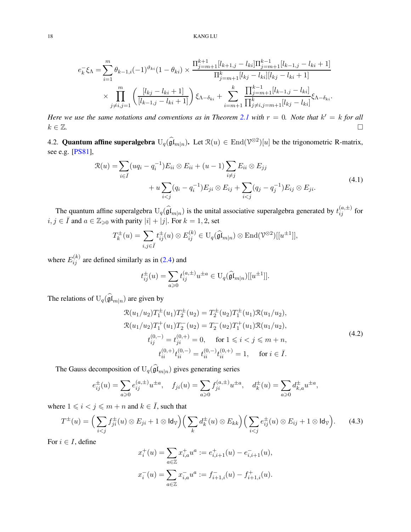<span id="page-17-3"></span>
$$
e_k^- \xi_\Lambda = \sum_{i=1}^m \theta_{k-1,i}(-1)^{\vartheta_{ki}} (1 - \theta_{ki}) \times \frac{\Pi_{j=m+1}^{k+1} [l_{k+1,j} - l_{ki}] \Pi_{j=m+1}^{k-1} [l_{k-1,j} - l_{ki} + 1]}{\Pi_{j=m+1}^k [l_{kj} - l_{ki}] [l_{kj} - l_{ki} + 1]}
$$

$$
\times \prod_{j \neq i,j=1}^m \left( \frac{[l_{kj} - l_{ki} + 1]}{[l_{k-1,j} - l_{ki} + 1]} \right) \xi_{\Lambda - \delta_{ki}} + \sum_{i=m+1}^k \frac{\Pi_{j=m+1}^{k-1} [l_{k-1,j} - l_{ki}]}{\Pi_{j \neq i,j=m+1}^k [l_{kj} - l_{ki}]} \xi_{\Lambda - \delta_{ki}}.
$$

*Here we use the same notations and conventions as in Theorem [2.1](#page-3-0) with*  $r = 0$ . *Note that*  $k' = k$  *for all*  $k \in \mathbb{Z}$ .

4.2. **Quantum affine superalgebra**  $U_q(\hat{\mathfrak{gl}}_{m|n})$ . Let  $\mathcal{R}(u) \in \text{End}(\mathcal{V}^{\otimes 2})[u]$  be the trigonometric R-matrix, see e.g. [\[PS81\]](#page-22-20),

$$
\mathcal{R}(u) = \sum_{i \in \bar{I}} (uq_i - q_i^{-1}) E_{ii} \otimes E_{ii} + (u - 1) \sum_{i \neq j} E_{ii} \otimes E_{jj} \n+ u \sum_{i < j} (q_i - q_i^{-1}) E_{ji} \otimes E_{ij} + \sum_{i < j} (q_j - q_j^{-1}) E_{ij} \otimes E_{ji}.
$$
\n
$$
(4.1)
$$

<span id="page-17-2"></span>The quantum affine superalgebra  $U_q(\widehat{\mathfrak{gl}}_{m|n})$  is the unital associative superalgebra generated by  $t_{ij}^{(a,\pm)}$  for  $i, j \in \overline{I}$  and  $a \in \mathbb{Z}_{\geq 0}$  with parity  $|i| + |j|$ . For  $k = 1, 2$ , set

$$
T_k^{\pm}(u) = \sum_{i,j \in \bar{I}} t_{ij}^{\pm}(u) \otimes E_{ij}^{(k)} \in U_q(\widehat{\mathfrak{gl}}_{m|n}) \otimes \text{End}(\mathcal{V}^{\otimes 2})[[u^{\pm 1}]],
$$

where  $E_{ij}^{(k)}$  are defined similarly as in [\(2.4\)](#page-4-5) and

$$
t_{ij}^{\pm}(u) = \sum_{a \geq 0} t_{ij}^{(a,\pm)} u^{\pm a} \in U_q(\widehat{\mathfrak{gl}}_{m|n})[[u^{\pm 1}]].
$$

<span id="page-17-1"></span>The relations of  $U_q(\mathfrak{gl}_{m|n})$  are given by

$$
\mathcal{R}(u_1/u_2)T_1^{\pm}(u_1)T_2^{\pm}(u_2) = T_2^{\pm}(u_2)T_1^{\pm}(u_1)\mathcal{R}(u_1/u_2),
$$
  
\n
$$
\mathcal{R}(u_1/u_2)T_1^+(u_1)T_2^-(u_2) = T_2^-(u_2)T_1^+(u_1)\mathcal{R}(u_1/u_2),
$$
  
\n
$$
t_{ij}^{(0,-)} = t_{ji}^{(0,+)} = 0, \quad \text{for } 1 \le i < j \le m+n,
$$
  
\n
$$
t_{ii}^{(0,+)}t_{ii}^{(0,-)} = t_{ii}^{(0,-)}t_{ii}^{(0,+)} = 1, \quad \text{for } i \in \overline{I}.
$$
\n(4.2)

The Gauss decomposition of  $U_q(\mathfrak{gl}_{m|n})$  gives generating series

$$
e_{ij}^{\pm}(u) = \sum_{a \ge 0} e_{ij}^{(a,\pm)} u^{\pm a}, \quad f_{ji}(u) = \sum_{a \ge 0} f_{ji}^{(a,\pm)} u^{\pm a}, \quad d_k^{\pm}(u) = \sum_{a \ge 0} d_{k,a}^{\pm} u^{\pm a},
$$

where  $1 \leq i < j \leq m + n$  and  $k \in \overline{I}$ , such that

<span id="page-17-0"></span>
$$
T^{\pm}(u) = \Big(\sum_{i < j} f_{ji}^{\pm}(u) \otimes E_{ji} + 1 \otimes \mathsf{Id}_{\mathcal{V}}\Big) \Big(\sum_{k} d_k^{\pm}(u) \otimes E_{kk}\Big) \Big(\sum_{i < j} e_{ij}^{\pm}(u) \otimes E_{ij} + 1 \otimes \mathsf{Id}_{\mathcal{V}}\Big). \tag{4.3}
$$

For  $i \in I$ , define

$$
\begin{aligned} x_i^+(u) & = \sum_{a \in \mathbb{Z}} x_{i,a}^+ u^a := e_{i,i+1}^+(u) - e_{i,i+1}^-(u), \\ x_i^-(u) & = \sum_{a \in \mathbb{Z}} x_{i,a}^- u^a := f_{i+1,i}^-(u) - f_{i+1,i}^+(u). \end{aligned}
$$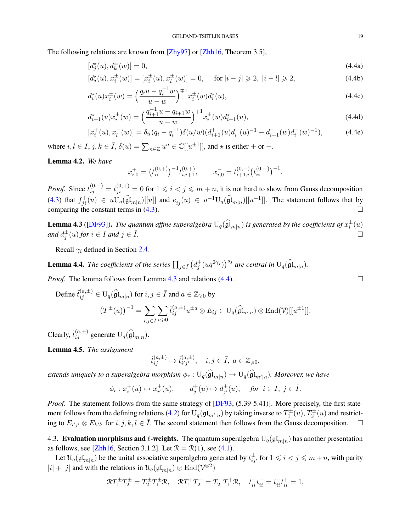<span id="page-18-4"></span>The following relations are known from [\[Zhy97\]](#page-22-21) or [\[Zhh16,](#page-22-16) Theorem 3.5],

<span id="page-18-1"></span>
$$
[d_j^{\star}(u), d_k^{\pm}(w)] = 0,\t\t(4.4a)
$$

$$
[d_j^{\star}(u), x_i^{\pm}(w)] = [x_i^{\pm}(u), x_l^{\pm}(w)] = 0, \quad \text{ for } |i - j| \ge 2, |i - l| \ge 2,
$$
 (4.4b)

$$
d_i^{\star}(u)x_i^{\pm}(w) = \left(\frac{q_iu - q_i^{-1}w}{u - w}\right)^{\mp 1} x_i^{\pm}(w)d_i^{\star}(u),\tag{4.4c}
$$

$$
d_{i+1}^{\star}(u)x_i^{\pm}(w) = \left(\frac{q_{i+1}^{-1}u - q_{i+1}w}{u - w}\right)^{\mp 1}x_i^{\pm}(w)d_{i+1}^{\star}(u),\tag{4.4d}
$$

$$
[x_i^+(u), x_i^-(w)] = \delta_{il}(q_i - q_i^{-1})\delta(u/w)(d_{i+1}^+(u)d_i^+(u)^{-1} - d_{i+1}^-(w)d_i^-(w)^{-1}),
$$
\n(4.4e)

where  $i, l \in I$ ,  $j, k \in \overline{I}$ ,  $\delta(u) = \sum_{n \in \mathbb{Z}} u^n \in \mathbb{C}[[u^{\pm 1}]]$ , and  $\star$  is either  $+$  or  $-$ .

<span id="page-18-2"></span>Lemma 4.2. *We have*

$$
x_{i,0}^+ = (t_{ii}^{(0,+)})^{-1} t_{i,i+1}^{(0,+)}, \qquad x_{i,0}^- = t_{i+1,i}^{(0,-)} (t_{ii}^{(0,-)})^{-1}.
$$

*Proof.* Since  $t_{ij}^{(0,-)} = t_{ji}^{(0,+)} = 0$  for  $1 \leq i < j \leq m+n$ , it is not hard to show from Gauss decomposition [\(4.3\)](#page-17-0) that  $f_{ji}^+(u) \in uU_q(\widehat{\mathfrak{gl}}_{m|n})[[u]]$  and  $e_{ij}^-(u) \in u^{-1}U_q(\widehat{\mathfrak{gl}}_{m|n})[[u^{-1}]]$ . The statement follows that by comparing the constant terms in [\(4.3\)](#page-17-0).  $\Box$ 

<span id="page-18-0"></span>**Lemma 4.3** ([\[DF93\]](#page-21-9)). The quantum affine superalgebra  $U_q(\widehat{\mathfrak{gl}}_{m|n})$  is generated by the coefficients of  $x_i^{\pm}(u)$  $\Box$ *and*  $d_j^{\pm}(u)$  *for*  $i \in I$  *and*  $j \in \overline{I}$ *.* 

Recall  $\gamma_i$  defined in Section [2.4.](#page-5-3)

**Lemma 4.4.** *The coefficients of the series*  $\prod_{j\in \bar{I}} \left( d_j^+(uq^{2\gamma_j}) \right)^{s_j}$  are central in  $U_q(\widehat{\mathfrak{gl}}_{m|n})$ .

*Proof.* The lemma follows from Lemma [4.3](#page-18-0) and relations [\(4.4\)](#page-18-1).

Define  $\tilde{t}_{ij}^{(a,\pm)} \in U_q(\widehat{\mathfrak{gl}}_{m|n})$  for  $i, j \in \bar{I}$  and  $a \in \mathbb{Z}_{\geqslant 0}$  by

$$
(T^{\pm}(u))^{-1} = \sum_{i,j \in \bar{I}} \sum_{a \geq 0} \tilde{t}_{ij}^{(a,\pm)} u^{\pm a} \otimes E_{ij} \in U_q(\widehat{\mathfrak{gl}}_{m|n}) \otimes \text{End}(\mathcal{V})[[u^{\pm 1}]].
$$

Clearly,  $\tilde{t}_{ij}^{(a,\pm)}$  generate  $U_q(\widehat{\mathfrak{gl}}_{m|n}).$ 

<span id="page-18-3"></span>Lemma 4.5. *The assignment*

$$
\tilde t_{ij}^{(a,\pm)}\mapsto \tilde t_{i'j'}^{(a,\pm)},\quad i,j\in\bar I,\; a\in\mathbb{Z}_{\geqslant0},
$$

extends uniquely to a superalgebra morphism  $\phi_r : U_q(\mathfrak{gl}_{m|n}) \to U_q(\mathfrak{gl}_{m'|n})$ . Moreover, we have

$$
\phi_r: x_i^\pm(u) \mapsto x_{i'}^\pm(u), \qquad d_j^\pm(u) \mapsto d_{j'}^\pm(u), \quad \textit{for } i \in I, \; j \in \bar{I}.
$$

*Proof.* The statement follows from the same strategy of [\[DF93,](#page-21-9) (5.39-5.41)]. More precisely, the first state-ment follows from the defining relations [\(4.2\)](#page-17-1) for  $U_q(\mathfrak{gl}_{m'|n})$  by taking inverse to  $T^{\pm}_1(u), T^{\pm}_2(u)$  and restricting to  $E_{i'j'} \otimes E_{k'l'}$  for  $i, j, k, l \in \overline{I}$ . The second statement then follows from the Gauss decomposition.  $\Box$ 

4.3. Evaluation morphisms and  $\ell$ -weights. The quantum superalgebra  $\mathrm{U}_q(\mathfrak{gl}_{m|n})$  has another presentation as follows, see [\[Zhh16,](#page-22-16) Section 3.1.2]. Let  $\mathcal{R} = \mathcal{R}(1)$ , see [\(4.1\)](#page-17-2).

Let  $\mathfrak{U}_q(\mathfrak{gl}_{m|n})$  be the unital associative superalgebra generated by  $t_{ij}^{\pm}$ , for  $1 \leqslant i < j \leqslant m+n$ , with parity  $|i| + |j|$  and with the relations in  $\mathcal{U}_q(\mathfrak{gl}_{m|n}) \otimes \text{End}(\mathcal{V}^{\otimes 2})$ 

$$
\mathcal{R}T_1^{\pm}T_2^{\pm} = T_2^{\pm}T_1^{\pm}\mathcal{R}, \quad \mathcal{R}T_1^{\pm}T_2^- = T_2^-T_1^{\pm}\mathcal{R}, \quad t_{ii}^{+}t_{ii}^{-} = t_{ii}^{-}t_{ii}^{+} = 1,
$$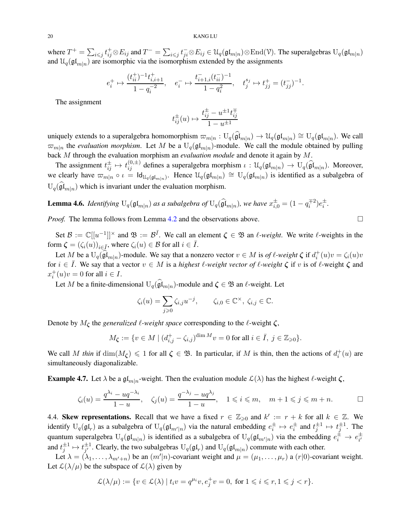where  $T^+ = \sum_{i \leq j} t_{ij}^+ \otimes E_{ij}$  and  $T^- = \sum_{i \leq j} t_{ji}^- \otimes E_{ij} \in \mathcal{U}_q(\mathfrak{gl}_{m|n}) \otimes \text{End}(\mathcal{V})$ . The superalgebras  $U_q(\mathfrak{gl}_{m|n})$ and  $\mathfrak{U}_q(\mathfrak{gl}_{m|n})$  are isomorphic via the isomorphism extended by the assignments

$$
e_i^+ \mapsto \frac{(t_{ii}^+)^{-1} t_{i,i+1}^+}{1 - q_i^{-2}}, \quad e_i^- \mapsto \frac{t_{i+1,i}^- (t_{ii}^-)^{-1}}{1 - q_i^2}, \quad t_j^{s_j} \mapsto t_{jj}^+ = (t_{jj}^-)^{-1}.
$$

The assignment

$$
t_{ij}^{\pm}(u) \mapsto \frac{t_{ij}^{\pm} - u^{\pm 1} t_{ij}^{\mp}}{1 - u^{\pm 1}}
$$

uniquely extends to a superalgebra homomorphism  $\varpi_{m|n}: U_q(\widehat{\mathfrak{gl}}_{m|n}) \to \mathcal{U}_q(\mathfrak{gl}_{m|n}) \cong U_q(\mathfrak{gl}_{m|n}).$  We call  $\varpi_{m|n}$  the *evaluation morphism*. Let M be a  $U_q(\mathfrak{gl}_{m|n})$ -module. We call the module obtained by pulling back M through the evaluation morphism an *evaluation module* and denote it again by M.

The assignment  $t_{ij}^{\pm} \mapsto t_{ij}^{(0,\pm)}$  defines a superalgebra morphism  $\iota : \mathcal{U}_q(\mathfrak{gl}_{m|n}) \to \mathcal{U}_q(\widehat{\mathfrak{gl}}_{m|n})$ . Moreover, we clearly have  $\overline{\omega}_{m|n} \circ \iota = \text{Id}_{\mathcal{U}_q(\mathfrak{gl}_{m|n})}$ . Hence  $\mathcal{U}_q(\mathfrak{gl}_{m|n}) \cong U_q(\mathfrak{gl}_{m|n})$  is identified as a subalgebra of  $U_q(\mathfrak{gl}_{m|n})$  which is invariant under the evaluation morphism.

<span id="page-19-0"></span>**Lemma 4.6.** *Identifying*  $U_q(\mathfrak{gl}_{m|n})$  *as a subalgebra of*  $U_q(\widehat{\mathfrak{gl}}_{m|n})$ *, we have*  $x_{i,0}^{\pm} = (1 - q_i^{\mp 2})e_i^{\pm}$ *.* 

*Proof.* The lemma follows from Lemma [4.2](#page-18-2) and the observations above.

Set  $\mathcal{B} := \mathbb{C}[[u^{-1}]]^{\times}$  and  $\mathfrak{B} := \mathcal{B}^{\bar{I}}$ . We call an element  $\zeta \in \mathfrak{B}$  an  $\ell$ -weight. We write  $\ell$ -weights in the form  $\zeta = (\zeta_i(u))_{i \in \overline{I}}$ , where  $\zeta_i(u) \in \mathcal{B}$  for all  $i \in \overline{I}$ .

Let M be a  $U_q(\widehat{\mathfrak{gl}}_{m|n})$ -module. We say that a nonzero vector  $v \in M$  is *of l*-weight  $\zeta$  if  $d_i^+(u)v = \zeta_i(u)v$ for  $i \in I$ . We say that a vector  $v \in M$  is a *highest*  $\ell$ -weight vector of  $\ell$ -weight  $\zeta$  if v is of  $\ell$ -weight  $\zeta$  and  $x_i^+(u)v = 0$  for all  $i \in I$ .

Let M be a finite-dimensional  $U_q(\widehat{\mathfrak{gl}}_{m|n})$ -module and  $\zeta \in \mathfrak{B}$  an  $\ell$ -weight. Let

$$
\zeta_i(u) = \sum_{j \geq 0} \zeta_{i,j} u^{-j}, \qquad \zeta_{i,0} \in \mathbb{C}^\times, \ \zeta_{i,j} \in \mathbb{C}.
$$

Denote by  $M_{\zeta}$  the *generalized*  $\ell$ *-weight space* corresponding to the  $\ell$ -weight  $\zeta$ ,

$$
M_{\zeta} := \{ v \in M \mid (d_{i,j}^+ - \zeta_{i,j})^{\dim M} v = 0 \text{ for all } i \in \overline{I}, j \in \mathbb{Z}_{\geq 0} \}.
$$

We call M *thin* if  $\dim(M_{\zeta}) \leq 1$  for all  $\zeta \in \mathfrak{B}$ . In particular, if M is thin, then the actions of  $d_i^+(u)$  are simultaneously diagonalizable.

**Example 4.7.** Let  $\lambda$  be a gl<sub>m|n</sub>-weight. Then the evaluation module  $\mathcal{L}(\lambda)$  has the highest  $\ell$ -weight  $\zeta$ ,

$$
\zeta_i(u) = \frac{q^{\lambda_i} - uq^{-\lambda_i}}{1 - u}, \quad \zeta_j(u) = \frac{q^{-\lambda_j} - uq^{\lambda_j}}{1 - u}, \quad 1 \leqslant i \leqslant m, \quad m + 1 \leqslant j \leqslant m + n.
$$

4.4. Skew representations. Recall that we have a fixed  $r \in \mathbb{Z}_{\geqslant 0}$  and  $k' := r + k$  for all  $k \in \mathbb{Z}$ . We identify  $U_q(\mathfrak{gl}_r)$  as a subalgebra of  $U_q(\mathfrak{gl}_{m'|n})$  via the natural embedding  $e_i^{\pm} \mapsto e_i^{\pm}$  and  $t_j^{\pm 1} \mapsto t_j^{\pm 1}$ . The quantum superalgebra  $U_q(\mathfrak{gl}_{m|n})$  is identified as a subalgebra of  $U_q(\mathfrak{gl}_{m'|n})$  via the embedding  $e_i^{\pm} \to e_{i'}^{\pm}$ i ′ and  $t_j^{\pm 1} \mapsto t_{j'}^{\pm 1}$  $j'$ . Clearly, the two subalgebras  $U_q(\mathfrak{gl}_r)$  and  $U_q(\mathfrak{gl}_{m|n})$  commute with each other.

Let  $\lambda = (\lambda_1, \ldots, \lambda_{m'+n})$  be an  $(m'|n)$ -covariant weight and  $\mu = (\mu_1, \ldots, \mu_r)$  a  $(r|0)$ -covariant weight. Let  $\mathcal{L}(\lambda/\mu)$  be the subspace of  $\mathcal{L}(\lambda)$  given by

$$
\mathcal{L}(\lambda/\mu):=\{v\in\mathcal{L}(\lambda)\mid t_iv=q^{\mu_i}v,e_j^+v=0,\text{ for }1\leqslant i\leqslant r, 1\leqslant j
$$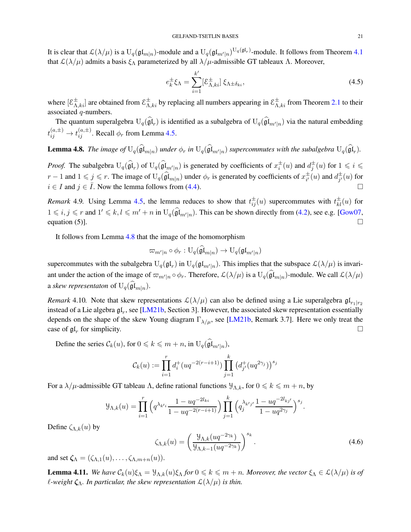<span id="page-20-4"></span>It is clear that  $\mathcal{L}(\lambda/\mu)$  is a  $U_q(\mathfrak{gl}_{m|n})$ -module and a  $U_q(\mathfrak{gl}_{m'|n})^{U_q(\mathfrak{gl}_r)}$ -module. It follows from Theorem [4.1](#page-16-0) that  $\mathcal{L}(\lambda/\mu)$  admits a basis  $\xi_{\Lambda}$  parameterized by all  $\lambda/\mu$ -admissible GT tableaux  $\Lambda$ . Moreover,

<span id="page-20-1"></span>
$$
e_k^{\pm} \xi_\Lambda = \sum_{i=1}^{k'} [\mathcal{E}_{\Lambda,ki}^{\pm}] \xi_{\Lambda \pm \delta_{ki}}, \tag{4.5}
$$

where  $[\mathcal{E}_{\Lambda,ki}^{\pm}]$  are obtained from  $\mathcal{E}_{\Lambda,ki}^{\pm}$  by replacing all numbers appearing in  $\mathcal{E}_{\Lambda,ki}^{\pm}$  from Theorem [2.1](#page-3-0) to their associated q-numbers.

The quantum superalgebra  $U_q(\mathfrak{gl}_r)$  is identified as a subalgebra of  $U_q(\mathfrak{gl}_{m'|n})$  via the natural embedding  $t_{ij}^{(a,\pm)} \rightarrow t_{ij}^{(a,\pm)}.$  Recall  $\phi_r$  from Lemma [4.5.](#page-18-3)

<span id="page-20-0"></span>**Lemma 4.8.** The image of  $U_q(\mathfrak{gl}_{m|n})$  under  $\phi_r$  in  $U_q(\mathfrak{gl}_{m'|n})$  supercommutes with the subalgebra  $U_q(\mathfrak{gl}_r)$ .

*Proof.* The subalgebra  $U_q(\widehat{\mathfrak{gl}}_r)$  of  $U_q(\widehat{\mathfrak{gl}}_{m'|n})$  is generated by coefficients of  $x_i^{\pm}(u)$  and  $d_j^{\pm}(u)$  for  $1 \leq i \leq j$  $r-1$  and  $1 \leq j \leq r$ . The image of  $U_q(\widehat{\mathfrak{gl}}_{m|n})$  under  $\phi_r$  is generated by coefficients of  $x_{i'}^{\pm}$  $_{i'}^{\pm}(u)$  and  $d_{j'}^{\pm}$  $_{j^{\prime }}^{\pm }(u)$  for  $i \in I$  and  $j \in \overline{I}$ . Now the lemma follows from [\(4.4\)](#page-18-1).

*Remark* 4.9. Using Lemma [4.5,](#page-18-3) the lemma reduces to show that  $t_{ij}^{\pm}(u)$  supercommutes with  $t_{kl}^{\pm}(u)$  for  $1 \leq i, j \leq r$  and  $1' \leq k, l \leq m' + n$  in  $U_q(\widehat{\mathfrak{gl}}_{m'|n})$ . This can be shown directly from [\(4.2\)](#page-17-1), see e.g. [\[Gow07,](#page-21-5) equation (5)].  $\Box$ 

It follows from Lemma [4.8](#page-20-0) that the image of the homomorphism

$$
\varpi_{m'|n} \circ \phi_r : \mathrm{U}_q(\mathfrak{gl}_{m|n}) \rightarrow \mathrm{U}_q(\mathfrak{gl}_{m'|n})
$$

supercommutes with the subalgebra  $U_q(\mathfrak{gl}_n)$  in  $U_q(\mathfrak{gl}_{m'|n})$ . This implies that the subspace  $\mathcal{L}(\lambda/\mu)$  is invariant under the action of the image of  $\varpi_{m'|n} \circ \phi_r$ . Therefore,  $\mathcal{L}(\lambda/\mu)$  is a  $U_q(\mathfrak{gl}_{m|n})$ -module. We call  $\mathcal{L}(\lambda/\mu)$ a *skew representaton* of  $U_q(\hat{\mathfrak{gl}}_{m|n}).$ 

*Remark* 4.10. Note that skew representations  $\mathcal{L}(\lambda/\mu)$  can also be defined using a Lie superalgebra  $\mathfrak{gl}_{r_1|r_2}$ instead of a Lie algebra  $\mathfrak{gl}_r$ , see [\[LM21b,](#page-22-3) Section 3]. However, the associated skew representation essentially depends on the shape of the skew Young diagram  $\Gamma_{\lambda/\mu}$ , see [\[LM21b,](#page-22-3) Remark 3.7]. Here we only treat the case of  $\mathfrak{gl}_r$  for simplicity.

Define the series  $\mathcal{C}_k(u)$ , for  $0 \le k \le m + n$ , in  $U_q(\mathfrak{gl}_{m'|n})$ ,

$$
\mathcal{C}_k(u) := \prod_{i=1}^r d_i^+(uq^{-2(r-i+1)}) \prod_{j=1}^k (d_{j'}^+(uq^{2\gamma_j}))^{s_j}
$$

For a  $\lambda/\mu$ -admissible GT tableau  $\Lambda$ , define rational functions  $\mathcal{Y}_{\Lambda,k}$ , for  $0 \leq k \leq m+n$ , by

$$
\mathcal{Y}_{\Lambda,k}(u) = \prod_{i=1}^r \left( q^{\lambda_{k'i}} \frac{1 - uq^{-2l_{ki}}}{1 - uq^{-2(r-i+1)}} \right) \prod_{j=1}^k \left( q_j^{\lambda_{k'j'}} \frac{1 - uq^{-2l_{kj'}}}{1 - uq^{2\gamma_j}} \right)^{s_j}.
$$

Define  $\zeta_{\Lambda,k}(u)$  by

<span id="page-20-2"></span>
$$
\zeta_{\Lambda,k}(u) = \left(\frac{\mathcal{Y}_{\Lambda,k}(uq^{-2\gamma_k})}{\mathcal{Y}_{\Lambda,k-1}(uq^{-2\gamma_k})}\right)^{s_k}.\tag{4.6}
$$

and set  $\zeta_{\Lambda} = (\zeta_{\Lambda,1}(u), \ldots, \zeta_{\Lambda,m+n}(u)).$ 

<span id="page-20-3"></span>**Lemma 4.11.** *We have*  $C_k(u)\xi_\Lambda = \mathcal{Y}_{\Lambda,k}(u)\xi_\Lambda$  *for*  $0 \le k \le m+n$ *. Moreover, the vector*  $\xi_\Lambda \in \mathcal{L}(\lambda/\mu)$  *is of l*-weight  $\zeta_\Lambda$ . In particular, the skew representation  $\mathcal{L}(\lambda/\mu)$  is thin.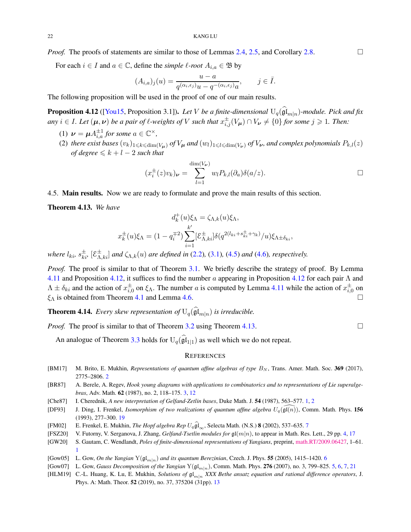<span id="page-21-12"></span>*Proof.* The proofs of statements are similar to those of Lemmas [2.4,](#page-6-0) [2.5,](#page-7-3) and Corollary [2.8.](#page-7-2)

For each  $i \in I$  and  $a \in \mathbb{C}$ , define the *simple*  $\ell$ *-root*  $A_{i,a} \in \mathfrak{B}$  by

$$
(A_{i,a})_j(u) = \frac{u-a}{q^{(\alpha_i,\epsilon_j)}u - q^{-(\alpha_i,\epsilon_j)}a}, \qquad j \in \bar{I}.
$$

The following proposition will be used in the proof of one of our main results.

<span id="page-21-10"></span>**Proposition 4.12** ([\[You15,](#page-22-8) Proposition 3.1]). Let  $V$  be a finite-dimensional  $U_q(\mathfrak{gl}_{m|n})$ -module. Pick and fix  $a_n y \in I$ *. Let*  $(\mu, \nu)$  *be a pair of*  $\ell$ *-weights of*  $V$  *such that*  $x_{i,j}^{\pm}(V_\mu) \cap V_\nu \neq \{0\}$  *for some*  $j \geqslant 1$ *. Then:* 

- (1)  $\nu = \mu A_{i,a}^{\pm 1}$  for some  $a \in \mathbb{C}^{\times}$ ,
- (2) *there exist bases*  $(v_k)_{1\leq k\leq \dim(V_u)}$  *of*  $V_\mu$  *and*  $(w_l)_{1\leq l\leq \dim(V_\nu)}$  *of*  $V_\nu$ *, and complex polynomials*  $P_{k,l}(z)$ *of degree*  $\leq k+l-2$  *such that*

$$
(x_i^{\pm}(z)v_k)_{\nu} = \sum_{l=1}^{\dim(V_{\nu})} w_l P_{k,l}(\partial_a) \delta(a/z).
$$

## 4.5. Main results. Now we are ready to formulate and prove the main results of this section.

<span id="page-21-11"></span>Theorem 4.13. *We have*

$$
d_k^+(u)\xi_\Lambda = \zeta_{\Lambda,k}(u)\xi_\Lambda,
$$
  

$$
x_k^\pm(u)\xi_\Lambda = (1 - q_i^{\mp 2}) \sum_{i=1}^{k'} [\mathcal{E}_{\Lambda,ki}^\pm] \delta(q^{2(l_{ki} + s_{ki}^\pm + \gamma_k)}/u) \xi_{\Lambda \pm \delta_{ki}},
$$

*where*  $l_{ki}$ ,  $s_{ki}^{\pm}$ ,  $[\mathcal{E}_{\Lambda,ki}^{\pm}]$  *and*  $\zeta_{\Lambda,k}(u)$  *are defined in* [\(2.2\)](#page-2-0), [\(3.1\)](#page-8-5), [\(4.5\)](#page-20-1) *and* [\(4.6\)](#page-20-2)*, respectively.* 

*Proof.* The proof is similar to that of Theorem [3.1.](#page-8-1) We briefly describe the strategy of proof. By Lemma [4.11](#page-20-3) and Proposition [4.12,](#page-21-10) it suffices to find the number a appearing in Proposition [4.12](#page-21-10) for each pair Λ and  $\Lambda \pm \delta_{ki}$  and the action of  $x_{i,0}^{\pm}$  on  $\xi_{\Lambda}$ . The number a is computed by Lemma [4.11](#page-20-3) while the action of  $x_{i,0}^{\pm}$  on  $\xi_{\Lambda}$  is obtained from Theorem [4.1](#page-16-0) and Lemma [4.6.](#page-19-0)

**Theorem 4.14.** *Every skew representation of*  $U_q(\widehat{\mathfrak{gl}}_{m|n})$  *is irreducible.* 

*Proof.* The proof is similar to that of Theorem [3.2](#page-8-3) using Theorem [4.13.](#page-21-11)

An analogue of Theorem [3.3](#page-8-4) holds for  $U_q(\mathfrak{gl}_{1|1})$  as well which we do not repeat.

#### **REFERENCES**

- <span id="page-21-2"></span>[BM17] M. Brito, E. Mukhin, *Representations of quantum affine algebras of type*  $B_N$ , Trans. Amer. Math. Soc. 369 (2017), 2775–2806. [2](#page-1-4)
- <span id="page-21-3"></span>[BR87] A. Berele, A. Regev, *Hook young diagrams with applications to combinatorics and to representations of Lie superalgebras*, Adv. Math. 62 (1987), no. 2, 118–175. [3,](#page-2-1) [12](#page-11-3)
- <span id="page-21-0"></span>[Che87] I. Cherednik, *A new interpretation of Gelfand-Zetlin bases*, Duke Math. J. 54 (1987), 563–577. [1,](#page-0-0) [2](#page-1-4)
- <span id="page-21-9"></span>[DF93] J. Ding, I. Frenkel, *Isomorphism of two realizations of quantum affine algebra*  $U_q(\mathfrak{gl}(n))$ , Comm. Math. Phys. 156 (1993), 277–300. [19](#page-18-4)
- <span id="page-21-7"></span>[FM02] E. Frenkel, E. Mukhin, *The Hopf algebra Rep*  $U_q \hat{gl}_{\infty}$ , Selecta Math. (N.S.) 8 (2002), 53[7](#page-6-2)–635. 7
- <span id="page-21-4"></span>[FSZ20] V. Futorny, V. Serganova, J. Zhang, *Gelfand-Tsetlin modules for* gl(m|n), to appear in Math. Res. Lett., 29 pp. [4,](#page-3-1) [17](#page-16-1)
- <span id="page-21-1"></span>[GW20] S. Gautam, C. Wendlandt, *Poles of finite-dimensional representations of Yangians*, preprint, [math.RT/2009.06427,](http://arxiv.org/abs/2009.06427) 1–61. [1](#page-0-0)

<span id="page-21-6"></span>[Gow05] L. Gow, *On the Yangian*  $Y(\mathfrak{gl}_{m|n})$  *and its quantum Berezinian*, Czech. J. Phys. 55 (2005), 1415–1420. [6](#page-5-4)

- <span id="page-21-5"></span>[Gow07] L. Gow, *Gauss Decomposition of the Yangian* Y( $\mathfrak{gl}_{m|n}$ ), Comm. Math. Phys. **276** (2007), no. 3, 799–825. [5,](#page-4-6) [6,](#page-5-4) [7,](#page-6-2) [21](#page-20-4)
- <span id="page-21-8"></span>[HLM19] C.-L. Huang, K. Lu, E. Mukhin, *Solutions of*  $\mathfrak{gl}_{m|n}$  *XXX Bethe ansatz equation and rational difference operators*, J. Phys. A: Math. Theor. 52 (2019), no. 37, 375204 (31pp). [13](#page-12-4)